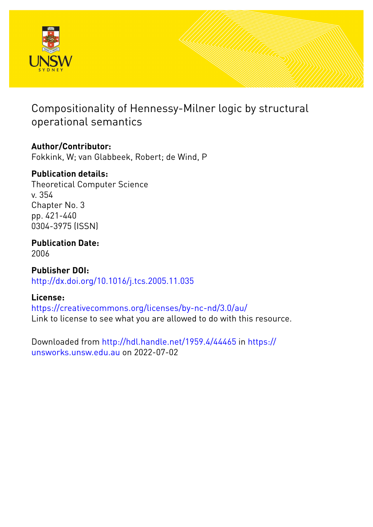

# Compositionality of Hennessy-Milner logic by structural operational semantics

## **Author/Contributor:**

Fokkink, W; van Glabbeek, Robert; de Wind, P

## **Publication details:**

Theoretical Computer Science v. 354 Chapter No. 3 pp. 421-440 0304-3975 (ISSN)

## **Publication Date:** 2006

**Publisher DOI:** [http://dx.doi.org/10.1016/j.tcs.2005.11.035](http://dx.doi.org/http://dx.doi.org/10.1016/j.tcs.2005.11.035)

## **License:**

<https://creativecommons.org/licenses/by-nc-nd/3.0/au/> Link to license to see what you are allowed to do with this resource.

Downloaded from <http://hdl.handle.net/1959.4/44465> in [https://](https://unsworks.unsw.edu.au) [unsworks.unsw.edu.au](https://unsworks.unsw.edu.au) on 2022-07-02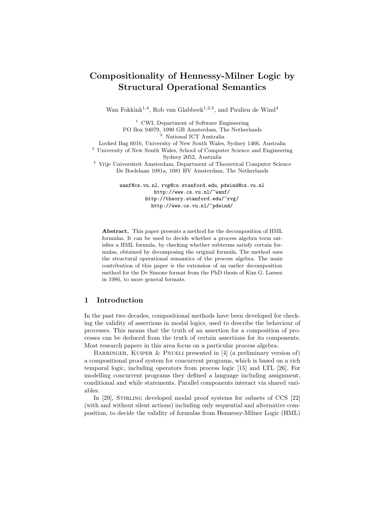## Compositionality of Hennessy-Milner Logic by Structural Operational Semantics

Wan Fokkink<sup>1,4</sup>, Rob van Glabbeek<sup>1,2,3</sup>, and Paulien de Wind<sup>4</sup>

<sup>1</sup> CWI, Department of Software Engineering PO Box 94079, 1090 GB Amsterdam, The Netherlands  $^{\rm 2}$ National ICT Australia Locked Bag 6016, University of New South Wales, Sydney 1466, Australia <sup>3</sup> University of New South Wales, School of Computer Science and Engineering Sydney 2052, Australia <sup>4</sup> Vrije Universiteit Amsterdam, Department of Theoretical Computer Science De Boelelaan 1081a, 1081 HV Amsterdam, The Netherlands wanf@cs.vu.nl, rvg@cs.stanford.edu, pdwind@cs.vu.nl

http://www.cs.vu.nl/~wanf/ http://theory.stanford.edu/~rvg/ http://www.cs.vu.nl/~pdwind/

Abstract. This paper presents a method for the decomposition of HML formulas. It can be used to decide whether a process algebra term satisfies a HML formula, by checking whether subterms satisfy certain formulas, obtained by decomposing the original formula. The method uses the structural operational semantics of the process algebra. The main contribution of this paper is the extension of an earlier decomposition method for the De Simone format from the PhD thesis of Kim G. Larsen in 1986, to more general formats.

## 1 Introduction

In the past two decades, compositional methods have been developed for checking the validity of assertions in modal logics, used to describe the behaviour of processes. This means that the truth of an assertion for a composition of processes can be deduced from the truth of certain assertions for its components. Most research papers in this area focus on a particular process algebra.

BARRINGER, KUIPER & PNUELI presented in  $[4]$  (a preliminary version of) a compositional proof system for concurrent programs, which is based on a rich temporal logic, including operators from process logic [15] and LTL [26]. For modelling concurrent programs they defined a language including assignment, conditional and while statements. Parallel components interact via shared variables.

In [29], STIRLING developed modal proof systems for subsets of CCS [22] (with and without silent actions) including only sequential and alternative composition, to decide the validity of formulas from Hennessy-Milner Logic (HML)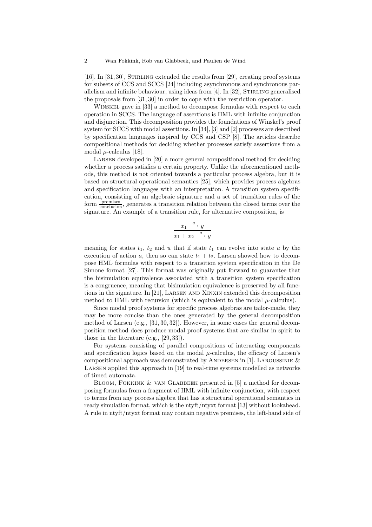[16]. In [31, 30], Stirling extended the results from [29], creating proof systems for subsets of CCS and SCCS [24] including asynchronous and synchronous parallelism and infinite behaviour, using ideas from  $[4]$ . In  $[32]$ , STIRLING generalised the proposals from [31, 30] in order to cope with the restriction operator.

Winskel gave in [33] a method to decompose formulas with respect to each operation in SCCS. The language of assertions is HML with infinite conjunction and disjunction. This decomposition provides the foundations of Winskel's proof system for SCCS with modal assertions. In [34], [3] and [2] processes are described by specification languages inspired by CCS and CSP [8]. The articles describe compositional methods for deciding whether processes satisfy assertions from a modal  $\mu$ -calculus [18].

Larsen developed in [20] a more general compositional method for deciding whether a process satisfies a certain property. Unlike the aforementioned methods, this method is not oriented towards a particular process algebra, but it is based on structural operational semantics [25], which provides process algebras and specification languages with an interpretation. A transition system specification, consisting of an algebraic signature and a set of transition rules of the form  $\frac{\text{premiss}}{\text{conclusion}}$ , generates a transition relation between the closed terms over the signature. An example of a transition rule, for alternative composition, is

$$
\frac{x_1 \xrightarrow{a} y}{x_1 + x_2 \xrightarrow{a} y}
$$

meaning for states  $t_1$ ,  $t_2$  and u that if state  $t_1$  can evolve into state u by the execution of action a, then so can state  $t_1 + t_2$ . Larsen showed how to decompose HML formulas with respect to a transition system specification in the De Simone format [27]. This format was originally put forward to guarantee that the bisimulation equivalence associated with a transition system specification is a congruence, meaning that bisimulation equivalence is preserved by all functions in the signature. In [21], Larsen and Xinxin extended this decomposition method to HML with recursion (which is equivalent to the modal  $\mu$ -calculus).

Since modal proof systems for specific process algebras are tailor-made, they may be more concise than the ones generated by the general decomposition method of Larsen (e.g., [31, 30, 32]). However, in some cases the general decomposition method does produce modal proof systems that are similar in spirit to those in the literature (e.g., [29, 33]).

For systems consisting of parallel compositions of interacting components and specification logics based on the modal  $\mu$ -calculus, the efficacy of Larsen's compositional approach was demonstrated by ANDERSEN in [1]. LAROUSSINIE  $&$ Larsen applied this approach in [19] to real-time systems modelled as networks of timed automata.

BLOOM, FOKKINK & VAN GLABBEEK presented in [5] a method for decomposing formulas from a fragment of HML with infinite conjunction, with respect to terms from any process algebra that has a structural operational semantics in ready simulation format, which is the ntyft/ntyxt format [13] without lookahead. A rule in ntyft/ntyxt format may contain negative premises, the left-hand side of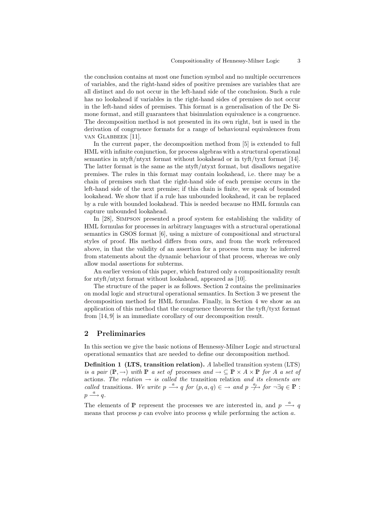the conclusion contains at most one function symbol and no multiple occurrences of variables, and the right-hand sides of positive premises are variables that are all distinct and do not occur in the left-hand side of the conclusion. Such a rule has no lookahead if variables in the right-hand sides of premises do not occur in the left-hand sides of premises. This format is a generalisation of the De Simone format, and still guarantees that bisimulation equivalence is a congruence. The decomposition method is not presented in its own right, but is used in the derivation of congruence formats for a range of behavioural equivalences from van Glabbeek [11].

In the current paper, the decomposition method from  $[5]$  is extended to full HML with infinite conjunction, for process algebras with a structural operational semantics in ntyft/ntyxt format without lookahead or in tyft/tyxt format [14]. The latter format is the same as the ntyft/ntyxt format, but disallows negative premises. The rules in this format may contain lookahead, i.e. there may be a chain of premises such that the right-hand side of each premise occurs in the left-hand side of the next premise; if this chain is finite, we speak of bounded lookahead. We show that if a rule has unbounded lookahead, it can be replaced by a rule with bounded lookahead. This is needed because no HML formula can capture unbounded lookahead.

In [28], Simpson presented a proof system for establishing the validity of HML formulas for processes in arbitrary languages with a structural operational semantics in GSOS format [6], using a mixture of compositional and structural styles of proof. His method differs from ours, and from the work referenced above, in that the validity of an assertion for a process term may be inferred from statements about the dynamic behaviour of that process, whereas we only allow modal assertions for subterms.

An earlier version of this paper, which featured only a compositionality result for ntyft/ntyxt format without lookahead, appeared as [10].

The structure of the paper is as follows. Section 2 contains the preliminaries on modal logic and structural operational semantics. In Section 3 we present the decomposition method for HML formulas. Finally, in Section 4 we show as an application of this method that the congruence theorem for the tyft/tyxt format from [14, 9] is an immediate corollary of our decomposition result.

## 2 Preliminaries

In this section we give the basic notions of Hennessy-Milner Logic and structural operational semantics that are needed to define our decomposition method.

Definition 1 (LTS, transition relation). A labelled transition system (LTS) is a pair  $(\mathbb{P}, \to)$  with  $\mathbb{P}$  a set of processes and  $\to \subseteq \mathbb{P} \times A \times \mathbb{P}$  for A a set of actions. The relation  $\rightarrow$  is called the transition relation and its elements are called transitions. We write  $p \stackrel{a}{\longrightarrow} q$  for  $(p, a, q) \in \rightarrow$  and  $p \stackrel{a}{\longrightarrow}$  for  $\neg \exists q \in \mathbb{P}$ :  $p \stackrel{a}{\longrightarrow} q.$ 

The elements of  $\mathbb P$  represent the processes we are interested in, and  $p \stackrel{a}{\longrightarrow} q$ means that process  $p$  can evolve into process  $q$  while performing the action  $a$ .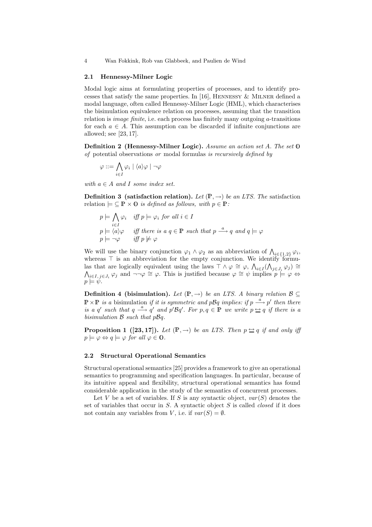#### 2.1 Hennessy-Milner Logic

Modal logic aims at formulating properties of processes, and to identify processes that satisfy the same properties. In [16], HENNESSY  $\&$  MILNER defined a modal language, often called Hennessy-Milner Logic (HML), which characterises the bisimulation equivalence relation on processes, assuming that the transition relation is *image finite*, i.e. each process has finitely many outgoing a-transitions for each  $a \in A$ . This assumption can be discarded if infinite conjunctions are allowed; see [23, 17].

Definition 2 (Hennessy-Milner Logic). Assume an action set A. The set 0 of potential observations or modal formulas is recursively defined by

$$
\varphi ::= \bigwedge_{i \in I} \varphi_i \mid \langle a \rangle \varphi \mid \neg \varphi
$$

with  $a \in A$  and I some index set.

**Definition 3** (satisfaction relation). Let  $(\mathbb{P}, \rightarrow)$  be an LTS. The satisfaction relation  $\models \subseteq \mathbb{P} \times \mathbb{O}$  is defined as follows, with  $p \in \mathbb{P}$ :

$$
p \models \bigwedge_{i \in I} \varphi_i \quad \text{iff } p \models \varphi_i \text{ for all } i \in I
$$
  

$$
p \models \langle a \rangle \varphi \quad \text{iff there is a } q \in \mathbb{P} \text{ such that } p \xrightarrow{a} q \text{ and } q \models \varphi
$$
  

$$
p \models \neg \varphi \quad \text{iff } p \not\models \varphi
$$

We will use the binary conjunction  $\varphi_1 \wedge \varphi_2$  as an abbreviation of  $\bigwedge_{i \in \{1,2\}} \varphi_i$ , whereas  $\top$  is an abbreviation for the empty conjunction. We identify formulas that are logically equivalent using the laws  $\top \wedge \varphi \cong \varphi, \ \bigwedge_{i \in I} (\bigwedge_{j \in J_i} \varphi_j) \cong$  $\bigwedge_{i\in I} \sum_{j\in J_i} \varphi_j$  and  $\neg \neg \varphi \cong \varphi$ . This is justified because  $\varphi \cong \psi$  implies  $p \models \varphi \Leftrightarrow$  $p \models \psi$ .

**Definition 4 (bisimulation).** Let  $(\mathbb{P}, \rightarrow)$  be an LTS. A binary relation  $\mathcal{B} \subseteq$  $\mathbb{P} \times \mathbb{P}$  is a bisimulation if it is symmetric and pBq implies: if  $p \stackrel{a}{\longrightarrow} p'$  then there is a q' such that  $q \stackrel{a}{\longrightarrow} q'$  and  $p'Bq'$ . For  $p,q \in \mathbb{P}$  we write  $p \rightarrow q$  if there is a bisimulation  $\beta$  such that  $p\beta q$ .

**Proposition 1** ([23, 17]). Let  $(\mathbb{P}, \rightarrow)$  be an LTS. Then  $p \rightarrow q$  if and only iff  $p \models \varphi \Leftrightarrow q \models \varphi \text{ for all } \varphi \in \mathbf{0}.$ 

## 2.2 Structural Operational Semantics

Structural operational semantics [25] provides a framework to give an operational semantics to programming and specification languages. In particular, because of its intuitive appeal and flexibility, structural operational semantics has found considerable application in the study of the semantics of concurrent processes.

Let V be a set of variables. If S is any syntactic object,  $var(S)$  denotes the set of variables that occur in  $S$ . A syntactic object  $S$  is called *closed* if it does not contain any variables from V, i.e. if  $var(S) = \emptyset$ .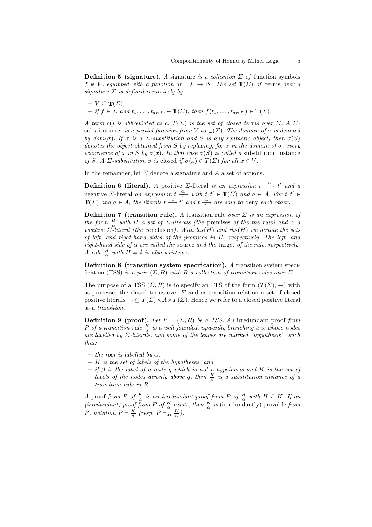**Definition 5 (signature).** A signature is a collection  $\Sigma$  of function symbols  $f \notin V$ , equipped with a function  $ar : \Sigma \to \mathbb{N}$ . The set  $\mathbb{T}(\Sigma)$  of terms over a signature  $\Sigma$  is defined recursively by:

 $-V \subseteq \mathbb{T}(\Sigma)$ ,  $-$  if  $\overline{f} \in \Sigma$  and  $t_1, \ldots, t_{ar(f)} \in \mathbb{T}(\Sigma)$ , then  $f(t_1, \ldots, t_{ar(f)}) \in \mathbb{T}(\Sigma)$ .

A term c() is abbreviated as c.  $T(\Sigma)$  is the set of closed terms over  $\Sigma$ . A  $\Sigma$ substitution  $\sigma$  is a partial function from V to  $\mathbb{T}(\Sigma)$ . The domain of  $\sigma$  is denoted by dom( $\sigma$ ). If  $\sigma$  is a  $\Sigma$ -substitution and S is any syntactic object, then  $\sigma(S)$ denotes the object obtained from S by replacing, for x in the domain of  $\sigma$ , every occurrence of x in S by  $\sigma(x)$ . In that case  $\sigma(S)$  is called a substitution instance of S. A  $\Sigma$ -substitution  $\sigma$  is closed if  $\sigma(x) \in T(\Sigma)$  for all  $x \in V$ .

In the remainder, let  $\Sigma$  denote a signature and A a set of actions.

**Definition 6 (literal).** A positive *Σ*-literal is an expression  $t \stackrel{a}{\longrightarrow} t'$  and a negative *Σ*-literal an expression  $t \stackrel{a}{\to}$  with  $t, t' \in \mathbb{T}(\Sigma)$  and  $a \in A$ . For  $t, t' \in$  $\mathbb{T}(\Sigma)$  and  $a \in A$ , the literals  $t \stackrel{a}{\longrightarrow} t'$  and  $t \stackrel{a}{\longrightarrow}$  are said to deny each other.

**Definition 7 (transition rule).** A transition rule over  $\Sigma$  is an expression of the form  $\frac{H}{\alpha}$  with H a set of  $\Sigma$ -literals (the premises of the the rule) and  $\alpha$  a positive  $\Sigma$ -literal (the conclusion). With lhs(H) and rhs(H) we denote the sets of left- and right-hand sides of the premises in H, respectively. The left- and right-hand side of  $\alpha$  are called the source and the target of the rule, respectively. A rule  $\frac{H}{\alpha}$  with  $H = \emptyset$  is also written  $\alpha$ .

Definition 8 (transition system specification). A transition system specification (TSS) is a pair  $(\Sigma, R)$  with R a collection of transition rules over  $\Sigma$ .

The purpose of a TSS  $(\Sigma, R)$  is to specify an LTS of the form  $(T(\Sigma), \rightarrow)$  with as processes the closed terms over  $\Sigma$  and as transition relation a set of closed positive literals  $\rightarrow \subseteq T(\Sigma) \times A \times T(\Sigma)$ . Hence we refer to a closed positive literal as a transition.

**Definition 9 (proof).** Let  $P = (\Sigma, R)$  be a TSS. An irredundant proof from P of a transition rule  $\frac{H}{\alpha}$  is a well-founded, upwardly branching tree whose nodes are labelled by  $\Sigma$ -literals, and some of the leaves are marked "hypothesis", such that:

- the root is labelled by  $\alpha$ ,
- H is the set of labels of the hypotheses, and
- $-$  if  $\beta$  is the label of a node q which is not a hypothesis and K is the set of labels of the nodes directly above q, then  $\frac{K}{\beta}$  is a substitution instance of a transition rule in R.

A proof from P of  $\frac{K}{\alpha}$  is an irredundant proof from P of  $\frac{H}{\alpha}$  with  $H \subseteq K$ . If an (irredundant) proof from P of  $\frac{K}{\alpha}$  exists, then  $\frac{K}{\alpha}$  is (irredundantly) provable from P, notation  $P \vdash \frac{K}{\alpha}$  (resp.  $P \vdash_{irr} \frac{K}{\alpha}$ ).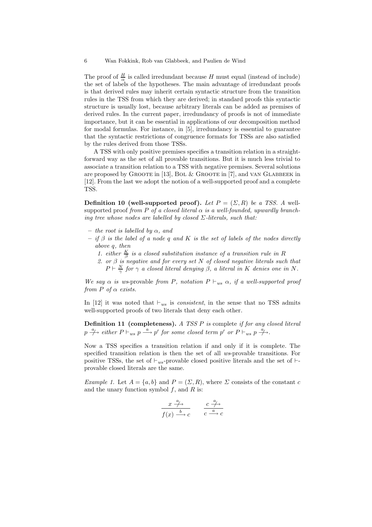The proof of  $\frac{H}{\alpha}$  is called irredundant because H must equal (instead of include) the set of labels of the hypotheses. The main advantage of irredundant proofs is that derived rules may inherit certain syntactic structure from the transition rules in the TSS from which they are derived; in standard proofs this syntactic structure is usually lost, because arbitrary literals can be added as premises of derived rules. In the current paper, irredundancy of proofs is not of immediate importance, but it can be essential in applications of our decomposition method for modal formulas. For instance, in [5], irredundancy is essential to guarantee that the syntactic restrictions of congruence formats for TSSs are also satisfied by the rules derived from those TSSs.

A TSS with only positive premises specifies a transition relation in a straightforward way as the set of all provable transitions. But it is much less trivial to associate a transition relation to a TSS with negative premises. Several solutions are proposed by Groote in [13], Bol & Groote in [7], and van Glabbeek in [12]. From the last we adopt the notion of a well-supported proof and a complete TSS.

**Definition 10 (well-supported proof).** Let  $P = (\Sigma, R)$  be a TSS. A wellsupported proof from P of a closed literal  $\alpha$  is a well-founded, upwardly branching tree whose nodes are labelled by closed  $\Sigma$ -literals, such that:

- the root is labelled by  $\alpha$ , and
- $-$  if  $\beta$  is the label of a node q and K is the set of labels of the nodes directly above q, then
	- 1. either  $\frac{K}{\beta}$  is a closed substitution instance of a transition rule in R
	- 2. or β is negative and for every set N of closed negative literals such that  $P \vdash \frac{N}{\gamma}$  for  $\gamma$  a closed literal denying  $\beta$ , a literal in K denies one in N.

We say  $\alpha$  is ws-provable from P, notation  $P \vdash_{ws} \alpha$ , if a well-supported proof from P of  $\alpha$  exists.

In [12] it was noted that  $\vdash_{ws}$  is *consistent*, in the sense that no TSS admits well-supported proofs of two literals that deny each other.

Definition 11 (completeness). A TSS P is complete if for any closed literal  $p \stackrel{a}{\rightarrow}$  either  $P \vdash_{ws} p \stackrel{a}{\rightarrow} p'$  for some closed term  $p'$  or  $P \vdash_{ws} p \stackrel{a}{\rightarrow}$ .

Now a TSS specifies a transition relation if and only if it is complete. The specified transition relation is then the set of all ws-provable transitions. For positive TSSs, the set of  $\vdash_{ws}$ -provable closed positive literals and the set of  $\vdash$ provable closed literals are the same.

Example 1. Let  $A = \{a, b\}$  and  $P = (\Sigma, R)$ , where  $\Sigma$  consists of the constant c and the unary function symbol  $f$ , and  $R$  is:

$$
\frac{x \stackrel{a}{\longrightarrow}}{f(x) \stackrel{b}{\longrightarrow} c} \qquad \frac{c \stackrel{a}{\longrightarrow}}{c \stackrel{a}{\longrightarrow} c}
$$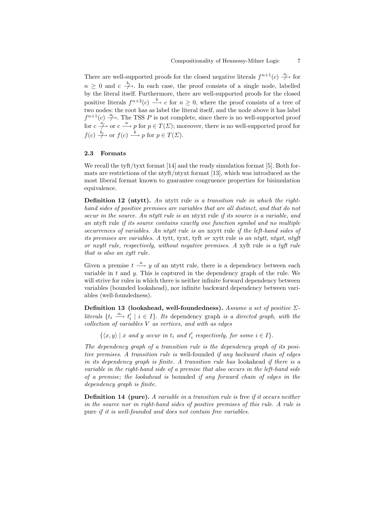There are well-supported proofs for the closed negative literals  $f^{n+1}(c) \stackrel{a}{\rightarrow}$  for  $n \geq 0$  and  $c \stackrel{b}{\longrightarrow}$ . In each case, the proof consists of a single node, labelled by the literal itself. Furthermore, there are well-supported proofs for the closed positive literals  $f^{n+2}(c) \stackrel{b}{\longrightarrow} c$  for  $n \geq 0$ , where the proof consists of a tree of two nodes: the root has as label the literal itself, and the node above it has label  $f^{n+1}(c) \stackrel{a}{\longrightarrow}$ . The TSS P is not complete, since there is no well-supported proof for  $c \stackrel{a}{\longrightarrow}$  or  $c \stackrel{a}{\longrightarrow} p$  for  $p \in T(\Sigma)$ ; moreover, there is no well-supported proof for  $f(c) \stackrel{b}{\longrightarrow}$  or  $f(c) \stackrel{b}{\longrightarrow} p$  for  $p \in T(\Sigma)$ .

### 2.3 Formats

We recall the tyft/tyxt format  $[14]$  and the ready simulation format  $[5]$ . Both formats are restrictions of the ntyft/ntyxt format [13], which was introduced as the most liberal format known to guarantee congruence properties for bisimulation equivalence.

Definition 12 (ntytt). An ntytt rule is a transition rule in which the righthand sides of positive premises are variables that are all distinct, and that do not occur in the source. An ntytt rule is an ntyxt rule if its source is a variable, and an ntyft rule if its source contains exactly one function symbol and no multiple occurrences of variables. An ntytt rule is an nxytt rule if the left-hand sides of its premises are variables. A tytt, tyxt, tyft or xytt rule is an ntytt, ntyxt, ntyft or nxytt rule, respectively, without negative premises. A xyft rule is a tyft rule that is also an xytt rule.

Given a premise  $t \stackrel{a}{\longrightarrow} y$  of an ntytt rule, there is a dependency between each variable in  $t$  and  $y$ . This is captured in the dependency graph of the rule. We will strive for rules in which there is neither infinite forward dependency between variables (bounded lookahead), nor infinite backward dependency between variables (well-foundedness).

Definition 13 (lookahead, well-foundedness). Assume a set of positive  $\Sigma$ literals  $\{t_i \stackrel{a_i}{\longrightarrow} t'_i \mid i \in I\}$ . Its dependency graph is a directed graph, with the collection of variables V as vertices, and with as edges

 $\{\langle x, y \rangle | x \text{ and } y \text{ occur in } t_i \text{ and } t'_i \text{ respectively, for some } i \in I\}.$ 

The dependency graph of a transition rule is the dependency graph of its positive premises. A transition rule is well-founded if any backward chain of edges in its dependency graph is finite. A transition rule has lookahead if there is a variable in the right-hand side of a premise that also occurs in the left-hand side of a premise; the lookahead is bounded if any forward chain of edges in the dependency graph is finite.

**Definition 14 (pure).** A variable in a transition rule is free if it occurs neither in the source nor in right-hand sides of positive premises of this rule. A rule is pure if it is well-founded and does not contain free variables.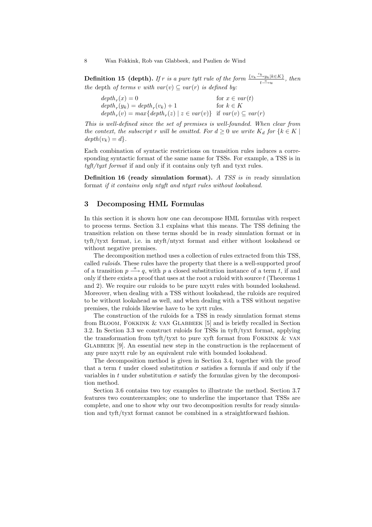**Definition 15 (depth).** If r is a pure tytt rule of the form  $\frac{\{v_k\overset{c_k}{\longrightarrow}y_k|k\in K\}}{1-\alpha}$  $\frac{\partial^2 y_k}{\partial t^2}$ , then the depth of terms v with  $var(v) \subseteq var(r)$  is defined by:

| $depth_r(x) = 0$                                                             | for $x \in var(t)$ |
|------------------------------------------------------------------------------|--------------------|
| $depth_r(y_k) = depth_r(v_k) + 1$                                            | for $k \in K$      |
| $depth_r(v) = max\{depth_r(z)   z \in var(v)\}$ if $var(v) \subseteq var(r)$ |                    |

This is well-defined since the set of premises is well-founded. When clear from the context, the subscript r will be omitted. For  $d \geq 0$  we write  $K_d$  for  $\{k \in K \mid$  $depth(v_k) = d$ .

Each combination of syntactic restrictions on transition rules induces a corresponding syntactic format of the same name for TSSs. For example, a TSS is in tyft/tyxt format if and only if it contains only tyft and tyxt rules.

**Definition 16 (ready simulation format).** A TSS is in ready simulation format if it contains only ntyft and ntyxt rules without lookahead.

## 3 Decomposing HML Formulas

In this section it is shown how one can decompose HML formulas with respect to process terms. Section 3.1 explains what this means. The TSS defining the transition relation on these terms should be in ready simulation format or in tyft/tyxt format, i.e. in ntyft/ntyxt format and either without lookahead or without negative premises.

The decomposition method uses a collection of rules extracted from this TSS, called ruloids. These rules have the property that there is a well-supported proof of a transition  $p \stackrel{a}{\longrightarrow} q$ , with p a closed substitution instance of a term t, if and only if there exists a proof that uses at the root a ruloid with source t (Theorems 1 and 2). We require our ruloids to be pure nxytt rules with bounded lookahead. Moreover, when dealing with a TSS without lookahead, the ruloids are required to be without lookahead as well, and when dealing with a TSS without negative premises, the ruloids likewise have to be xytt rules.

The construction of the ruloids for a TSS in ready simulation format stems from Bloom, Fokkink & van Glabbeek [5] and is briefly recalled in Section 3.2. In Section 3.3 we construct ruloids for TSSs in tyft/tyxt format, applying the transformation from tyft/tyxt to pure xyft format from Fokkink & van  $GLABBEEK$  [9]. An essential new step in the construction is the replacement of any pure nxytt rule by an equivalent rule with bounded lookahead.

The decomposition method is given in Section 3.4, together with the proof that a term t under closed substitution  $\sigma$  satisfies a formula if and only if the variables in t under substitution  $\sigma$  satisfy the formulas given by the decomposition method.

Section 3.6 contains two toy examples to illustrate the method. Section 3.7 features two counterexamples; one to underline the importance that TSSs are complete, and one to show why our two decomposition results for ready simulation and tyft/tyxt format cannot be combined in a straightforward fashion.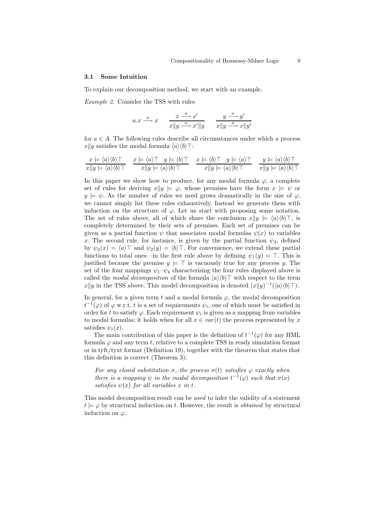#### 3.1 Some Intuition

To explain our decomposition method, we start with an example.

Example 2. Consider the TSS with rules

$$
a.x \xrightarrow{a} x \qquad \frac{x \xrightarrow{a} x'}{x \parallel y \xrightarrow{a} x' \parallel y} \qquad \frac{y \xrightarrow{a} y'}{x \parallel y \xrightarrow{a} x \parallel y'}
$$

for  $a \in A$ . The following rules describe all circumstances under which a process  $x\|y$  satisfies the modal formula  $\langle a \rangle \langle b \rangle$ .

$$
\frac{x \models \langle a \rangle \langle b \rangle \top}{x \Vert y \models \langle a \rangle \langle b \rangle \top} \quad \frac{x \models \langle a \rangle \top}{x \Vert y \models \langle a \rangle \langle b \rangle \top} \quad \frac{x \models \langle b \rangle \top}{x \Vert y \models \langle a \rangle \langle b \rangle \top} \quad \frac{x \models \langle b \rangle \top}{x \Vert y \models \langle a \rangle \langle b \rangle \top} \quad \frac{y \models \langle a \rangle \langle b \rangle \top}{x \Vert y \models \langle a \rangle \langle b \rangle \top}
$$

In this paper we show how to produce, for any modal formula  $\varphi$ , a complete set of rules for deriving  $x||y| \models \varphi$ , whose premises have the form  $x \models \psi$  or  $y \models \psi$ . As the number of rules we need grows dramatically in the size of  $\varphi$ , we cannot simply list these rules exhaustively. Instead we generate them with induction on the structure of  $\varphi$ . Let us start with proposing some notation. The set of rules above, all of which share the conclusion  $x||y \models \langle a \rangle \langle b \rangle$ , is completely determined by their sets of premises. Each set of premises can be given as a partial function  $\psi$  that associates modal formulas  $\psi(x)$  to variables x. The second rule, for instance, is given by the partial function  $\psi_2$ , defined by  $\psi_2(x) = \langle a \rangle$  and  $\psi_2(y) = \langle b \rangle$ . For convenience, we extend these partial functions to total ones—in the first rule above by defining  $\psi_1(y) = \top$ . This is justified because the premise  $y \models \top$  is vacuously true for any process y. The set of the four mappings  $\psi_1-\psi_4$  characterising the four rules displayed above is called the modal decomposition of the formula  $\langle a \rangle \langle b \rangle$  with respect to the term  $x||y$  in the TSS above. This model decomposition is denoted  $(x||y)^{-1}(\langle a\rangle\langle b\rangle\top)$ .

In general, for a given term t and a modal formula  $\varphi$ , the modal decomposition  $t^{-1}(\varphi)$  of  $\varphi$  w.r.t. t is a set of requirements  $\psi_i$ , one of which must be satisfied in order for t to satisfy  $\varphi$ . Each requirement  $\psi_i$  is given as a mapping from variables to modal formulas; it holds when for all  $x \in var(t)$  the process represented by x satisfies  $\psi_i(x)$ .

The main contribution of this paper is the definition of  $t^{-1}(\varphi)$  for any HML formula  $\varphi$  and any term t, relative to a complete TSS in ready simulation format or in tyft/tyxt format (Definition 19), together with the theorem that states that this definition is correct (Theorem 3):

For any closed substitution  $\sigma$ , the process  $\sigma(t)$  satisfies  $\varphi$  exactly when there is a mapping  $\psi$  in the modal decomposition  $t^{-1}(\varphi)$  such that  $\sigma(x)$ satisfies  $\psi(x)$  for all variables x in t.

This model decomposition result can be used to infer the validity of a statement  $t \models \varphi$  by structural induction on t. However, the result is *obtained* by structural induction on  $\varphi$ .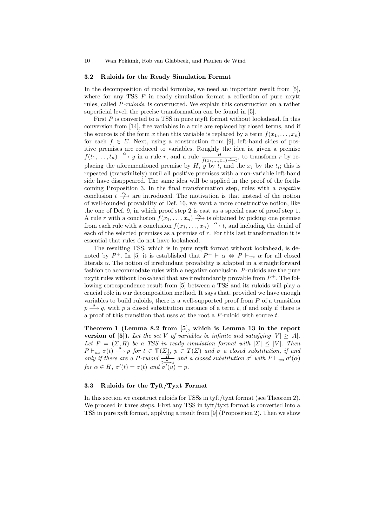#### 3.2 Ruloids for the Ready Simulation Format

In the decomposition of modal formulas, we need an important result from [5], where for any TSS  $P$  in ready simulation format a collection of pure nxytt rules, called P-ruloids, is constructed. We explain this construction on a rather superficial level; the precise transformation can be found in [5].

First P is converted to a TSS in pure ntyft format without lookahead. In this conversion from [14], free variables in a rule are replaced by closed terms, and if the source is of the form x then this variable is replaced by a term  $f(x_1, \ldots, x_n)$ for each  $f \in \Sigma$ . Next, using a construction from [9], left-hand sides of positive premises are reduced to variables. Roughly the idea is, given a premise  $f(t_1,\ldots,t_n) \stackrel{\alpha}{\longrightarrow} y$  in a rule r, and a rule  $\frac{g(t_1,\ldots,t_n)}{f(x_1,\ldots,x_n)\stackrel{\alpha}{\longrightarrow} t}$ , to transform r by replacing the aforementioned premise by  $H$ ,  $y$  by  $t$ , and the  $x_i$  by the  $t_i$ ; this is repeated (transfinitely) until all positive premises with a non-variable left-hand side have disappeared. The same idea will be applied in the proof of the forthcoming Proposition 3. In the final transformation step, rules with a negative conclusion  $t \stackrel{\alpha}{\rightarrow}$  are introduced. The motivation is that instead of the notion of well-founded provability of Def. 10, we want a more constructive notion, like the one of Def. 9, in which proof step 2 is cast as a special case of proof step 1. A rule r with a conclusion  $f(x_1, \ldots, x_n) \stackrel{\alpha}{\to}$  is obtained by picking one premise from each rule with a conclusion  $f(x_1, \ldots, x_n) \stackrel{\alpha}{\longrightarrow} t$ , and including the denial of each of the selected premises as a premise of  $r$ . For this last transformation it is essential that rules do not have lookahead.

The resulting TSS, which is in pure ntyft format without lookahead, is denoted by  $P^+$ . In [5] it is established that  $P^+ \vdash \alpha \Leftrightarrow P \vdash_{ws} \alpha$  for all closed literals  $\alpha$ . The notion of irredundant provability is adapted in a straightforward fashion to accommodate rules with a negative conclusion. P-ruloids are the pure nxytt rules without lookahead that are irredundantly provable from  $P^+$ . The following correspondence result from [5] between a TSS and its ruloids will play a crucial rôle in our decomposition method. It says that, provided we have enough variables to build ruloids, there is a well-supported proof from  $P$  of a transition  $p \stackrel{a}{\longrightarrow} q$ , with p a closed substitution instance of a term t, if and only if there is a proof of this transition that uses at the root a P-ruloid with source t.

Theorem 1 (Lemma 8.2 from [5], which is Lemma 13 in the report version of [5]). Let the set V of variables be infinite and satisfying  $|V| \ge |A|$ . Let  $P = (\Sigma, R)$  be a TSS in ready simulation format with  $|\Sigma| \leq |V|$ . Then  $P \vdash_{ws} \sigma(t) \stackrel{a}{\longrightarrow} p$  for  $t \in \mathbb{T}(\Sigma)$ ,  $p \in T(\Sigma)$  and  $\sigma$  a closed substitution, if and only if there are a P-ruloid  $\frac{H}{t-\gamma u}$  and a closed substitution  $\sigma'$  with  $P \vdash_{ws} \sigma'(\alpha)$ for  $\alpha \in H$ ,  $\sigma'(t) = \sigma(t)$  and  $\sigma'(u) = p$ .

### 3.3 Ruloids for the Tyft/Tyxt Format

In this section we construct ruloids for TSSs in tyft/tyxt format (see Theorem 2). We proceed in three steps. First any TSS in tyft/tyxt format is converted into a TSS in pure xyft format, applying a result from [9] (Proposition 2). Then we show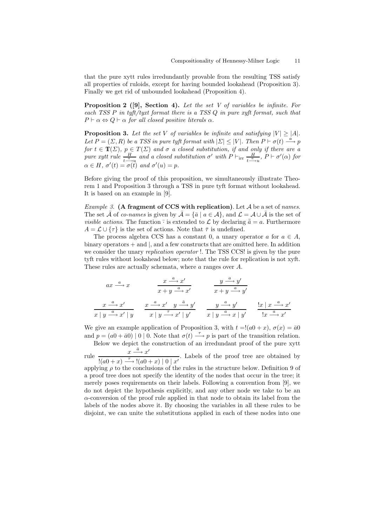that the pure xytt rules irredundantly provable from the resulting TSS satisfy all properties of ruloids, except for having bounded lookahead (Proposition 3). Finally we get rid of unbounded lookahead (Proposition 4).

**Proposition 2** ([9], Section 4). Let the set V of variables be infinite. For each TSS P in tyft/tyxt format there is a TSS Q in pure xyft format, such that  $P \vdash \alpha \Leftrightarrow Q \vdash \alpha$  for all closed positive literals  $\alpha$ .

**Proposition 3.** Let the set V of variables be infinite and satisfying  $|V| \ge |A|$ . Let  $P = (\Sigma, R)$  be a TSS in pure tyft format with  $|\Sigma| \leq |V|$ . Then  $P \vdash \sigma(t) \stackrel{a}{\longrightarrow} p$ for  $t \in \mathbb{T}(\Sigma)$ ,  $p \in T(\Sigma)$  and  $\sigma$  a closed substitution, if and only if there are a pure xytt rule  $\frac{H}{t-\frac{\alpha}{2}u}$  and a closed substitution  $\sigma'$  with  $P \vdash_{irr} \frac{H}{t-\frac{\alpha}{2}u}$  $\frac{H}{t-\Delta u}$ ,  $P \vdash \sigma'(\alpha)$  for  $\alpha \in H$ ,  $\sigma'(t) = \sigma(\overline{t})$  and  $\sigma'(u) = p$ .

Before giving the proof of this proposition, we simultaneously illustrate Theorem 1 and Proposition 3 through a TSS in pure tyft format without lookahead. It is based on an example in [9].

*Example 3.* (A fragment of CCS with replication). Let  $A$  be a set of names. The set  $\bar{\mathcal{A}}$  of co-names is given by  $\bar{\mathcal{A}} = {\bar{a} \mid a \in \mathcal{A}}$ , and  $\mathcal{L} = \mathcal{A} \cup \bar{\mathcal{A}}$  is the set of *visible actions*. The function  $\overline{\cdot}$  is extended to  $\mathcal{L}$  by declaring  $\overline{\overline{a}} = a$ . Furthermore  $A = \mathcal{L} \cup {\tau}$  is the set of actions. Note that  $\bar{\tau}$  is undefined.

The process algebra CCS has a constant 0, a unary operator a for  $a \in A$ , binary operators + and |, and a few constructs that are omitted here. In addition we consider the unary *replication operator* !. The TSS CCS! is given by the pure tyft rules without lookahead below; note that the rule for replication is not xyft. These rules are actually schemata, where a ranges over A.

$$
ax \xrightarrow{a} x \qquad \qquad \frac{x \xrightarrow{a} x'}{x + y \xrightarrow{a} x'} \qquad \qquad \frac{y \xrightarrow{a} y'}{x + y \xrightarrow{a} y'}
$$
\n
$$
\frac{x \xrightarrow{a} x'}{x + y \xrightarrow{a} x' + y} \qquad \frac{x \xrightarrow{a} x' \quad y \xrightarrow{a} y'}{x + y \xrightarrow{a} x' + y'} \qquad \frac{y \xrightarrow{a} y'}{x + y \xrightarrow{a} x + y'} \qquad \frac{|x + x \xrightarrow{a} x'}{|x \xrightarrow{a} x'|}
$$

We give an example application of Proposition 3, with  $t = (a0 + x)$ ,  $\sigma(x) = \bar{a}0$ and  $p = (a0 + \bar{a}0) | 0 | 0$ . Note that  $\sigma(t) \stackrel{\tau}{\longrightarrow} p$  is part of the transition relation.

Below we depict the construction of an irredundant proof of the pure xytt rule  $\frac{x \stackrel{\bar{a}}{\longrightarrow} x'}{\longleftarrow}$  $\frac{x}{\sqrt{1-(a(0+x))^2+(a(0+x))^2}}$ . Labels of the proof tree are obtained by

applying  $\rho$  to the conclusions of the rules in the structure below. Definition 9 of a proof tree does not specify the identity of the nodes that occur in the tree; it merely poses requirements on their labels. Following a convention from [9], we do not depict the hypothesis explicitly, and any other node we take to be an  $\alpha$ -conversion of the proof rule applied in that node to obtain its label from the labels of the nodes above it. By choosing the variables in all these rules to be disjoint, we can unite the substitutions applied in each of these nodes into one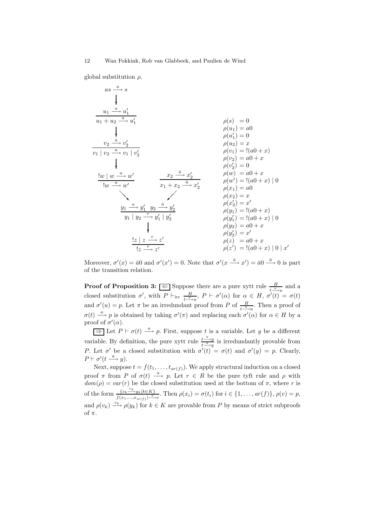global substitution  $\rho$ .

$$
as \xrightarrow{a} s
$$
\n
$$
\frac{u_1}{u_1 + u_2 \xrightarrow{a} u'_1}
$$
\n
$$
y_1 | v_2 \xrightarrow{a} v'_1
$$
\n
$$
v_2 | v'_2
$$
\n
$$
v_1 | v_2 | v'_2
$$
\n
$$
v_2 | v'_2
$$
\n
$$
v_1 | v'_2
$$
\n
$$
v_2 | v'_2
$$
\n
$$
v_1 | v'_2
$$
\n
$$
v_2 | v'_2
$$
\n
$$
v_1 | v'_2
$$
\n
$$
v_1 | v'_2
$$
\n
$$
v_1 | v'_2
$$
\n
$$
v_1 | v'_2
$$
\n
$$
v_1 | v'_2
$$
\n
$$
v_1 | v'_2
$$
\n
$$
v_1 | v'_2
$$
\n
$$
v_1 | v'_2
$$
\n
$$
v_1 | v'_2
$$
\n
$$
v_1 | v'_2
$$
\n
$$
v_1 | v'_2
$$
\n
$$
v_1 | v'_2
$$
\n
$$
v_1 | v'_2
$$
\n
$$
v_1 | v'_2
$$
\n
$$
v_1 | v'_2
$$
\n
$$
v_1 | v'_2
$$
\n
$$
v_1 | v'_2
$$
\n
$$
v_1 | v'_2
$$
\n
$$
v_1 | v'_2
$$
\n
$$
v_1 | v'_2
$$
\n
$$
v_1 | v'_2
$$
\n
$$
v_1 | v'_2
$$
\n
$$
v_1 | v'_2
$$
\n
$$
v_1 | v'_2
$$
\n
$$
v_1 | v'_2
$$
\n
$$
v_1 | v'_2
$$
\n
$$
v_1 | v'_2
$$
\n
$$
v_1 | v'_2
$$
\n
$$
v_1 | v'_2
$$
\n
$$
v_1 | v'_2
$$
\n
$$
v_1 | v'_2
$$
\n
$$
v_1 | v'_2
$$
\n
$$
v_1 | v'_2
$$
\n<math display="block</math>

Moreover,  $\sigma'(x) = \bar{a}0$  and  $\sigma'(x') = 0$ . Note that  $\sigma'(x \xrightarrow{\bar{a}} x') = \bar{a}0 \xrightarrow{\bar{a}} 0$  is part of the transition relation.

**Proof of Proposition 3:**  $\Leftarrow$  Suppose there are a pure xytt rule  $\frac{H}{t-\frac{a}{n}u}$  and a closed substitution  $\sigma'$ , with  $P \vdash_{irr} \frac{H}{\sigma}$  $\frac{H}{t-\alpha}$ ,  $P \vdash \sigma'(\alpha)$  for  $\alpha \in H$ ,  $\sigma'(t) = \sigma(t)$ and  $\sigma'(u) = p$ . Let  $\pi$  be an irredundant proof from P of  $\frac{H}{t-\mu}$ . Then a proof of  $\sigma(t) \stackrel{a}{\longrightarrow} p$  is obtained by taking  $\sigma'(\pi)$  and replacing each  $\sigma'(\alpha)$  for  $\alpha \in H$  by a proof of  $\sigma'(\alpha)$ .

 $\Rightarrow$  Let  $P \vdash \sigma(t) \stackrel{a}{\longrightarrow} p$ . First, suppose t is a variable. Let y be a different variable. By definition, the pure xytt rule  $\frac{t-4-y}{t-q}$  $\frac{t \rightarrow y}{t \rightarrow y}$  is irredundantly provable from P. Let  $\sigma'$  be a closed substitution with  $\sigma'(t) = \sigma(t)$  and  $\sigma'(y) = p$ . Clearly,  $P \vdash \sigma' (t \stackrel{a}{\longrightarrow} y).$ 

Next, suppose  $t = f(t_1, \ldots, t_{ar(f)})$ . We apply structural induction on a closed proof  $\pi$  from P of  $\sigma(t) \stackrel{a}{\longrightarrow} p$ . Let  $r \in R$  be the pure tyft rule and  $\rho$  with  $dom(\rho) = var(r)$  be the closed substitution used at the bottom of  $\pi$ , where r is of the form  $\frac{\{v_k \xrightarrow{c_k} y_k | k \in K\}}{\{(v_k \xrightarrow{c_k} v_k) \}}$  $\frac{\{v_k \longrightarrow y_k \mid \kappa \in \mathbb{A}\}}{f(x_1,...,x_{ar(f)}) \stackrel{a}{\longrightarrow} v}$ . Then  $\rho(x_i) = \sigma(t_i)$  for  $i \in \{1, \ldots, ar(f)\}, \rho(v) = p$ , and  $\rho(v_k) \xrightarrow{c_k} \rho(y_k)$  for  $k \in K$  are provable from P by means of strict subproofs of  $\pi$ .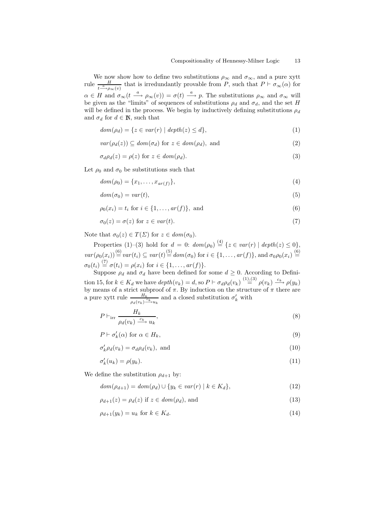We now show how to define two substitutions  $\rho_{\infty}$  and  $\sigma_{\infty}$ , and a pure xytt rule  $\frac{H}{t^{\frac{a}{a}}\gamma_{\infty}(v)}$  that is irredundantly provable from P, such that  $P \vdash \sigma_{\infty}(\alpha)$  for  $\alpha \in H$  and  $\sigma_{\infty}(t \stackrel{a}{\longrightarrow} \rho_{\infty}(v)) = \sigma(t) \stackrel{a}{\longrightarrow} p$ . The substitutions  $\rho_{\infty}$  and  $\sigma_{\infty}$  will be given as the "limits" of sequences of substitutions  $\rho_d$  and  $\sigma_d$ , and the set H will be defined in the process. We begin by inductively defining substitutions  $\rho_d$ and  $\sigma_d$  for  $d \in \mathbb{N}$ , such that

$$
dom(\rho_d) = \{ z \in var(r) \mid depth(z) \leq d \},\tag{1}
$$

$$
var(\rho_d(z)) \subseteq dom(\sigma_d) \text{ for } z \in dom(\rho_d), \text{ and } (2)
$$

$$
\sigma_d \rho_d(z) = \rho(z) \text{ for } z \in dom(\rho_d). \tag{3}
$$

Let  $\rho_0$  and  $\sigma_0$  be substitutions such that

$$
dom(\rho_0) = \{x_1, \dots, x_{ar(f)}\},\tag{4}
$$

$$
dom(\sigma_0) = var(t),\tag{5}
$$

$$
\rho_0(x_i) = t_i \text{ for } i \in \{1, ..., ar(f)\}, \text{ and}
$$
\n(6)

$$
\sigma_0(z) = \sigma(z) \text{ for } z \in var(t). \tag{7}
$$

Note that  $\sigma_0(z) \in T(\Sigma)$  for  $z \in dom(\sigma_0)$ .

Properties (1)–(3) hold for  $d = 0$ :  $dom(\rho_0) \stackrel{(4)}{=} \{z \in var(r) \mid depth(z) \leq 0\},$  $var(\rho_0(x_i)) \stackrel{(6)}{=} var(t_i) \subseteq var(t) \stackrel{(5)}{=} dom(\sigma_0)$  for  $i \in \{1, ..., ar(f)\}\$ , and  $\sigma_0 \rho_0(x_i) \stackrel{(6)}{=}$  $\sigma_0(t_i) \stackrel{(7)}{=} \sigma(t_i) = \rho(x_i) \text{ for } i \in \{1, ..., ar(f)\}.$ 

Suppose  $\rho_d$  and  $\sigma_d$  have been defined for some  $d \geq 0$ . According to Definition 15, for  $k \in K_d$  we have  $depth(v_k) = d$ , so  $P \vdash \sigma_d \rho_d(v_k) \stackrel{(1),(3)}{=} \rho(v_k) \stackrel{c_k}{\longrightarrow} \rho(y_k)$ by means of a strict subproof of  $\pi$ . By induction on the structure of  $\pi$  there are a pure xytt rule  $\frac{H_k}{\rho_d(v_k)\frac{c_k}{r}}$  and a closed substitution  $\sigma'_k$  with

$$
P \vdash_{\text{irr}} \frac{H_k}{\rho_d(v_k) \xrightarrow{c_k} u_k},\tag{8}
$$

$$
P \vdash \sigma'_k(\alpha) \text{ for } \alpha \in H_k,\tag{9}
$$

$$
\sigma'_k \rho_d(v_k) = \sigma_d \rho_d(v_k), \text{ and } \tag{10}
$$

$$
\sigma'_k(u_k) = \rho(y_k). \tag{11}
$$

We define the substitution  $\rho_{d+1}$  by:

$$
dom(\rho_{d+1}) = dom(\rho_d) \cup \{y_k \in var(r) \mid k \in K_d\},\tag{12}
$$

$$
\rho_{d+1}(z) = \rho_d(z) \text{ if } z \in dom(\rho_d), \text{ and} \tag{13}
$$

$$
\rho_{d+1}(y_k) = u_k \text{ for } k \in K_d. \tag{14}
$$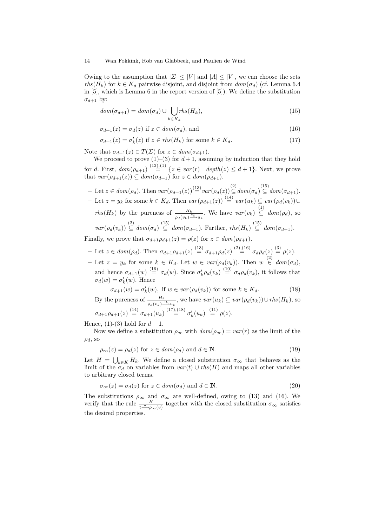Owing to the assumption that  $|\Sigma| \leq |V|$  and  $|A| \leq |V|$ , we can choose the sets  $rhs(H_k)$  for  $k \in K_d$  pairwise disjoint, and disjoint from  $dom(\sigma_d)$  (cf. Lemma 6.4 in [5], which is Lemma 6 in the report version of [5]). We define the substitution  $\sigma_{d+1}$  by:

$$
dom(\sigma_{d+1}) = dom(\sigma_d) \cup \bigcup_{k \in K_d} rhs(H_k), \tag{15}
$$

$$
\sigma_{d+1}(z) = \sigma_d(z) \text{ if } z \in dom(\sigma_d), \text{ and} \tag{16}
$$

$$
\sigma_{d+1}(z) = \sigma'_k(z) \text{ if } z \in \mathit{rhs}(H_k) \text{ for some } k \in K_d. \tag{17}
$$

Note that  $\sigma_{d+1}(z) \in T(\Sigma)$  for  $z \in dom(\sigma_{d+1})$ .

We proceed to prove  $(1)$ – $(3)$  for  $d+1$ , assuming by induction that they hold for d. First,  $dom(\rho_{d+1}) \stackrel{(12),(1)}{=} \{z \in var(r) \mid depth(z) \leq d+1\}.$  Next, we prove that  $var(\rho_{d+1}(z)) \subseteq dom(\sigma_{d+1})$  for  $z \in dom(\rho_{d+1})$ .

$$
- \text{ Let } z \in dom(\rho_d). \text{ Then } var(\rho_{d+1}(z)) \stackrel{(13)}{=} var(\rho_d(z)) \stackrel{(2)}{\subseteq} dom(\sigma_d) \stackrel{(15)}{\subseteq} dom(\sigma_{d+1}).
$$
  
\n
$$
- \text{ Let } z = y_k \text{ for some } k \in K_d. \text{ Then } var(\rho_{d+1}(z)) \stackrel{(14)}{=} var(u_k) \subseteq var(\rho_d(v_k)) \cup
$$
  
\n
$$
rhs(H_k) \text{ by the pureness of } \frac{H_k}{\rho_d(v_k) \stackrel{(15)}{=} u_k}. \text{ We have } var(v_k) \stackrel{(1)}{\subseteq} dom(\rho_d), \text{ so}
$$
  
\n
$$
var(\rho_d(v_k)) \stackrel{(2)}{\subseteq} dom(\sigma_d) \stackrel{(15)}{\subseteq} dom(\sigma_{d+1}). \text{ Further, } rhs(H_k) \stackrel{(15)}{\subseteq} dom(\sigma_{d+1}).
$$
  
\nFinally, we prove that  $\sigma_{k+1}(z) = a(z) \text{ for } z \in dom(a_{k+1})$ .

Finally, we prove that  $\sigma_{d+1}\rho_{d+1}(z) = \rho(z)$  for  $z \in dom(\rho_{d+1})$ .

- Let  $z \in dom(\rho_d)$ . Then  $\sigma_{d+1}\rho_{d+1}(z) \stackrel{(13)}{=} \sigma_{d+1}\rho_d(z) \stackrel{(2),(16)}{=} \sigma_d\rho_d(z) \stackrel{(3)}{=} \rho(z)$ .
- Let  $z = y_k$  for some  $k \in K_d$ . Let  $w \in var(\rho_d(v_k))$ . Then  $w \stackrel{(2)}{\in} dom(\sigma_d)$ , and hence  $\sigma_{d+1}(w) \stackrel{(16)}{=} \sigma_d(w)$ . Since  $\sigma'_k \rho_d(v_k) \stackrel{(10)}{=} \sigma_d \rho_d(v_k)$ , it follows that  $\sigma_d(w) = \sigma'_k(w)$ . Hence

$$
\sigma_{d+1}(w) = \sigma'_k(w), \text{ if } w \in \text{var}(\rho_d(v_k)) \text{ for some } k \in K_d. \tag{18}
$$

By the pureness of  $\frac{H_k}{\rho_d(v_k)\frac{c_k}{\cdots}u_k}$ , we have  $var(u_k) \subseteq var(\rho_d(v_k)) \cup rhs(H_k)$ , so  $\sigma_{d+1}\rho_{d+1}(z) \stackrel{(14)}{=} \sigma_{d+1}(u_k) \stackrel{(17),(18)}{=} \sigma'_k(u_k) \stackrel{(11)}{=} \rho(z).$ 

Hence, (1)-(3) hold for  $d+1$ .

Now we define a substitution  $\rho_{\infty}$  with  $dom(\rho_{\infty}) = var(r)$  as the limit of the  $\rho_d$ , so

$$
\rho_{\infty}(z) = \rho_d(z) \text{ for } z \in dom(\rho_d) \text{ and } d \in \mathbb{N}.
$$
\n(19)

Let  $H = \bigcup_{k \in K} H_k$ . We define a closed substitution  $\sigma_{\infty}$  that behaves as the limit of the  $\sigma_d$  on variables from  $var(t) \cup$  rhs(H) and maps all other variables to arbitrary closed terms.

$$
\sigma_{\infty}(z) = \sigma_d(z) \text{ for } z \in \text{dom}(\sigma_d) \text{ and } d \in \mathbb{N}.
$$
\n(20)

The substitutions  $\rho_{\infty}$  and  $\sigma_{\infty}$  are well-defined, owing to (13) and (16). We verify that the rule  $\frac{H}{t-\mu_{\infty}(v)}$  together with the closed substitution  $\sigma_{\infty}$  satisfies the desired properties.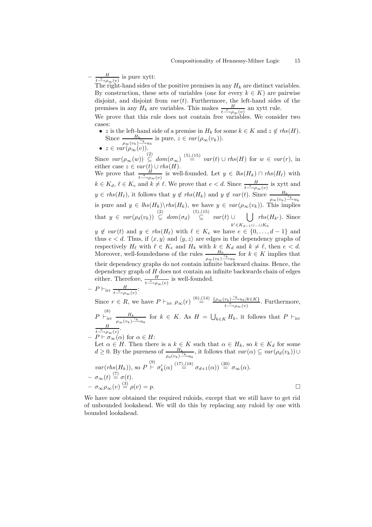$\frac{H}{a}$  $\frac{H}{t \longrightarrow \rho_{\infty}(v)}$  is pure xytt:

The right-hand sides of the positive premises in any  $H_k$  are distinct variables. By construction, these sets of variables (one for every  $k \in K$ ) are pairwise disjoint, and disjoint from  $var(t)$ . Furthermore, the left-hand sides of the premises in any  $H_k$  are variables. This makes  $\frac{H}{t-\rho_{\infty}(v)}$  an xytt rule.

We prove that this rule does not contain free variables. We consider two cases:

• z is the left-hand side of a premise in  $H_k$  for some  $k \in K$  and  $z \notin \mathit{rhs}(H)$ . Since  $\frac{H_k}{\rho_\infty(v_k)\frac{c_k}{\cdots}u_k}$  is pure,  $z \in var(\rho_\infty(v_k)).$ 

$$
\bullet
$$
  $z \in var(\rho_{\infty}(v)).$ 

Since  $var(\rho_{\infty}(w)) \stackrel{(2)}{\subseteq} dom(\sigma_{\infty}) \stackrel{(5),(15)}{=} var(t) \cup rhs(H)$  for  $w \in var(r)$ , in either case  $z \in var(t) \cup rhs(H)$ .

We prove that  $\frac{H}{t-\mu}$ <sub>o∞(v)</sub> is well-founded. Let  $y \in \textit{lhs}(H_k) \cap \textit{rhs}(H_\ell)$  with  $k \in K_d$ ,  $\ell \in K_e$  and  $k \neq \ell$ . We prove that  $e < d$ . Since  $\frac{H}{t-\ell}$  is xytt and  $y \in \mathit{rhs}(H_\ell)$ , it follows that  $y \notin \mathit{rhs}(H_k)$  and  $y \notin \mathit{var}(t)$ . Since  $\frac{H_k}{\rho_\infty(v_k)\frac{c_k}{\rho_w}}$ is pure and  $y \in \text{lh}_s(H_k) \backslash \text{rhs}(H_k)$ , we have  $y \in \text{var}(\rho_\infty(v_k))$ . This implies that y ∈ var (ρd(vk)) (2) ⊆ dom(σd) (5),(15) ⊆ var (t) ∪ [  $k' \in K_{d-1} \cup ... \cup K_0$  $rhs(H_{k'})$ . Since

 $y \notin var(t)$  and  $y \in rhs(H_\ell)$  with  $\ell \in K_e$  we have  $e \in \{0, ..., d - 1\}$  and thus  $e < d$ . Thus, if  $\langle x, y \rangle$  and  $\langle y, z \rangle$  are edges in the dependency graphs of respectively  $H_\ell$  with  $\ell \in K_e$  and  $H_k$  with  $k \in K_d$  and  $k \neq \ell$ , then  $e < d$ . Moreover, well-foundedness of the rules  $\frac{H_k}{\rho_{\infty}(v_k)\frac{c_k}{r}u_k}$  for  $k \in K$  implies that their dependency graphs do not contain infinite backward chains. Hence, the dependency graph of  $H$  does not contain an infinite backwards chain of edges either. Therefore,  $\frac{H}{t^{\alpha} \to \rho_{\infty}(v)}$  is well-founded.

 $- P \vdash_{irr} \frac{H}{t^{a} \cdot \epsilon}$  $\frac{H}{t\longrightarrow\rho_{\infty}(v)}$ :

Since  $r \in R$ , we have  $P \vdash_{irr} \rho_{\infty}(r) \stackrel{(6),(14)}{=} \frac{\{\rho_{\infty}(v_k) \stackrel{c_k}{\longrightarrow} u_k | k \in K\}}{\prod_{i=1}^n \rho_{\infty}(r)}$  $\frac{v_k}{t-\theta}\to \frac{u_k}{\theta}$ . Furthermore,  $P \vdash^{\text{(8)}}_{\text{irr}} \frac{H_k}{\sqrt{1-\frac{1}{2}}}$  $\frac{H_k}{\rho_\infty(v_k)\frac{c_k}{w_k}}$  for  $k \in K$ . As  $H = \bigcup_{k \in K} H_k$ , it follows that  $P \vdash_{irr}$  $\frac{H}{\longrightarrow \rho_{\infty}(v)}.$ 

$$
- P + \overset{t \xrightarrow{\alpha}}{\sigma_{\infty}} (\alpha) \text{ for } \alpha \in H:
$$

Let  $\alpha \in H$ . Then there is a  $k \in K$  such that  $\alpha \in H_k$ , so  $k \in K_d$  for some  $d \geq 0$ . By the pureness of  $\frac{H_k}{\rho_d(v_k)^{\frac{c_k}{c_{k+1}}}}$ , it follows that  $var(\alpha) \subseteq var(\rho_d(v_k)) \cup$  $var(rhs(H_k)),$  so  $P \stackrel{(9)}{\vdash} \sigma'_k(\alpha) \stackrel{(17),(18)}{=} \sigma_{d+1}(\alpha) \stackrel{(20)}{=} \sigma_{\infty}(\alpha)$ .  $- \sigma_{\infty}(t) \stackrel{(7)}{=} \sigma(t).$  $-\sigma_{\infty}\rho_{\infty}(v) \stackrel{(3)}{=} \rho(v) = p.$ 

We have now obtained the required ruloids, except that we still have to get rid of unbounded lookahead. We will do this by replacing any ruloid by one with bounded lookahead.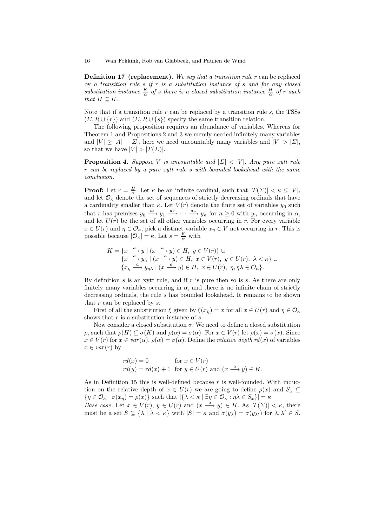**Definition 17 (replacement).** We say that a transition rule  $r$  can be replaced by a transition rule  $s$  if  $r$  is a substitution instance of  $s$  and for any closed substitution instance  $\frac{K}{\alpha}$  of s there is a closed substitution instance  $\frac{H}{\alpha}$  of r such that  $H \subseteq K$ .

Note that if a transition rule  $r$  can be replaced by a transition rule  $s$ , the TSSs  $(\Sigma, R \cup \{r\})$  and  $(\Sigma, R \cup \{s\})$  specify the same transition relation.

The following proposition requires an abundance of variables. Whereas for Theorem 1 and Propositions 2 and 3 we merely needed infinitely many variables and  $|V| > |A| + |\Sigma|$ , here we need uncountably many variables and  $|V| > |\Sigma|$ , so that we have  $|V| > |T(\Sigma)|$ .

**Proposition 4.** Suppose V is uncountable and  $|\Sigma| < |V|$ . Any pure xytt rule r can be replaced by a pure xytt rule s with bounded lookahead with the same conclusion.

**Proof:** Let  $r = \frac{H}{\alpha}$ . Let  $\kappa$  be an infinite cardinal, such that  $|T(\Sigma)| < \kappa \leq |V|$ , and let  $\mathcal{O}_{\kappa}$  denote the set of sequences of strictly decreasing ordinals that have a cardinality smaller than  $\kappa$ . Let  $V(r)$  denote the finite set of variables  $y_0$  such that r has premises  $y_0 \stackrel{a_1}{\longrightarrow} y_1 \stackrel{a_2}{\longrightarrow} \cdots \stackrel{a_n}{\longrightarrow} y_n$  for  $n \geq 0$  with  $y_n$  occurring in  $\alpha$ , and let  $U(r)$  be the set of all other variables occurring in r. For every variable  $x \in U(r)$  and  $\eta \in \mathcal{O}_{\kappa}$ , pick a distinct variable  $x_{\eta} \in V$  not occurring in r. This is possible because  $|\mathcal{O}_{\kappa}| = \kappa$ . Let  $s = \frac{K}{\alpha}$  with

$$
K = \{x \xrightarrow{a} y \mid (x \xrightarrow{a} y) \in H, y \in V(r)\} \cup
$$
  
\n
$$
\{x \xrightarrow{a} y_{\lambda} \mid (x \xrightarrow{a} y) \in H, x \in V(r), y \in U(r), \lambda < \kappa\} \cup
$$
  
\n
$$
\{x_{\eta} \xrightarrow{a} y_{\eta\lambda} \mid (x \xrightarrow{a} y) \in H, x \in U(r), \eta, \eta\lambda \in \mathcal{O}_{\kappa}\}.
$$

By definition  $s$  is an xytt rule, and if  $r$  is pure then so is  $s$ . As there are only finitely many variables occurring in  $\alpha$ , and there is no infinite chain of strictly decreasing ordinals, the rule s has bounded lookahead. It remains to be shown that  $r$  can be replaced by  $s$ .

First of all the substitution  $\xi$  given by  $\xi(x_n) = x$  for all  $x \in U(r)$  and  $\eta \in \mathcal{O}_{\kappa}$ shows that  $r$  is a substitution instance of  $s$ .

Now consider a closed substitution  $\sigma$ . We need to define a closed substitution  $\rho$ , such that  $\rho(H) \subseteq \sigma(K)$  and  $\rho(\alpha) = \sigma(\alpha)$ . For  $x \in V(r)$  let  $\rho(x) = \sigma(x)$ . Since  $x \in V(r)$  for  $x \in var(\alpha)$ ,  $\rho(\alpha) = \sigma(\alpha)$ . Define the *relative depth rd*(x) of variables  $x \in var(r)$  by

$$
rd(x) = 0 \qquad \text{for } x \in V(r)
$$
  
 
$$
rd(y) = rd(x) + 1 \text{ for } y \in U(r) \text{ and } (x \xrightarrow{a} y) \in H.
$$

As in Definition 15 this is well-defined because  $r$  is well-founded. With induction on the relative depth of  $x \in U(r)$  we are going to define  $\rho(x)$  and  $S_x \subseteq$  $\{\eta \in \mathcal{O}_{\kappa} \mid \sigma(x_{\eta}) = \rho(x)\}\$  such that  $|\{\lambda < \kappa \mid \exists \eta \in \mathcal{O}_{\kappa} : \eta \lambda \in S_x\}| = \kappa$ .

Base case: Let  $x \in V(r)$ ,  $y \in U(r)$  and  $(x \stackrel{a}{\longrightarrow} y) \in H$ . As  $|T(\Sigma)| < \kappa$ , there must be a set  $S \subseteq {\{\lambda \mid \lambda < \kappa\}}$  with  $|S| = \kappa$  and  $\sigma(y_{\lambda}) = \sigma(y_{\lambda'})$  for  $\lambda, \lambda' \in S$ .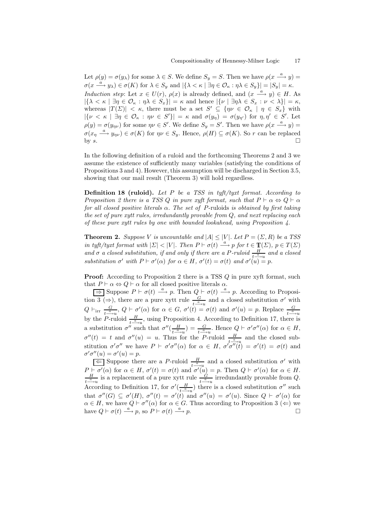Let  $\rho(y) = \sigma(y_\lambda)$  for some  $\lambda \in S$ . We define  $S_y = S$ . Then we have  $\rho(x \stackrel{a}{\longrightarrow} y) =$  $\sigma(x \stackrel{a}{\longrightarrow} y_\lambda) \in \sigma(K)$  for  $\lambda \in S_y$  and  $|\{\lambda \leq \kappa \mid \exists \eta \in \mathcal{O}_\kappa : \eta \lambda \in S_y\}| = |S_y| = \kappa$ . Induction step: Let  $x \in U(r)$ ,  $\rho(x)$  is already defined, and  $(x \stackrel{a}{\longrightarrow} y) \in H$ . As  $|\{\lambda < \kappa \mid \exists \eta \in \mathcal{O}_{\kappa} : \eta \lambda \in S_x\}| = \kappa$  and hence  $|\{\nu \mid \exists \eta \lambda \in S_x : \nu \langle \lambda \rangle\}| = \kappa$ , whereas  $|T(\Sigma)| < \kappa$ , there must be a set  $S' \subseteq \{ \eta \nu \in \mathcal{O}_{\kappa} \mid \eta \in S_x \}$  with  $|\{\nu < \kappa \mid \exists \eta \in \mathcal{O}_\kappa : \eta \nu \in S'\}| = \kappa \text{ and } \sigma(y_\eta) = \sigma(y_{\eta'}) \text{ for } \eta, \eta' \in S'.$  Let  $\rho(y) = \sigma(y_{\eta\nu})$  for some  $\eta\nu \in S'$ . We define  $S_y = S'$ . Then we have  $\rho(x \stackrel{a}{\longrightarrow} y) =$  $\sigma(x_n \stackrel{a}{\longrightarrow} y_{\eta\nu}) \in \sigma(K)$  for  $\eta\nu \in S_y$ . Hence,  $\rho(H) \subseteq \sigma(K)$ . So r can be replaced by  $s$ .

In the following definition of a ruloid and the forthcoming Theorems 2 and 3 we assume the existence of sufficiently many variables (satisfying the conditions of Propositions 3 and 4). However, this assumption will be discharged in Section 3.5, showing that our mail result (Theorem 3) will hold regardless.

**Definition 18 (ruloid).** Let  $P$  be a TSS in tyft/tyxt format. According to Proposition 2 there is a TSS Q in pure xyft format, such that  $P \vdash \alpha \Leftrightarrow Q \vdash \alpha$ for all closed positive literals  $\alpha$ . The set of P-ruloids is obtained by first taking the set of pure xytt rules, irredundantly provable from Q, and next replacing each of these pure xytt rules by one with bounded lookahead, using Proposition 4.

**Theorem 2.** Suppose V is uncountable and  $|A| \leq |V|$ . Let  $P = (\Sigma, R)$  be a TSS in tyft/tyxt format with  $|\Sigma| < |V|$ . Then  $P \vdash \sigma(t) \stackrel{a}{\longrightarrow} p$  for  $t \in \mathbb{T}(\Sigma)$ ,  $p \in T(\Sigma)$ and  $\sigma$  a closed substitution, if and only if there are a P-ruloid  $\frac{H}{t-\gamma u}$  and a closed substitution  $\sigma'$  with  $P \vdash \sigma'(\alpha)$  for  $\alpha \in H$ ,  $\sigma'(t) = \sigma(t)$  and  $\sigma'(u) = p$ .

**Proof:** According to Proposition 2 there is a TSS Q in pure xyft format, such that  $P \vdash \alpha \Leftrightarrow Q \vdash \alpha$  for all closed positive literals  $\alpha$ .

 $\Rightarrow$  Suppose  $P \vdash \sigma(t) \stackrel{a}{\longrightarrow} p$ . Then  $Q \vdash \sigma(t) \stackrel{a}{\longrightarrow} p$ . According to Proposition 3 ( $\Rightarrow$ ), there are a pure xytt rule  $\frac{G}{t-\frac{a}{2}}$  and a closed substitution  $\sigma'$  with  $Q \vdash_{\text{irr}} \frac{G}{I-a}$  $\frac{G}{t-\alpha}$ ,  $Q \vdash \sigma'(\alpha)$  for  $\alpha \in G$ ,  $\sigma'(t) = \sigma(t)$  and  $\sigma'(u) = p$ . Replace  $\frac{G}{t-\alpha}$ by the P-ruloid  $\frac{H}{t-\lambda}$ , using Proposition 4. According to Definition 17, there is a substitution  $\sigma''$  such that  $\sigma''(\frac{H}{\sigma^a})$  $\frac{H}{t^{\frac{\alpha}{-\alpha}u}} = \frac{G}{t^{\frac{\alpha}{-\alpha}u}}$ . Hence  $Q \vdash \sigma' \sigma''(\alpha)$  for  $\alpha \in H$ ,  $\sigma''(t) = t$  and  $\sigma''(u) = u$ . Thus for the P-ruloid  $\frac{H}{t-\gamma u}$  and the closed substitution  $\sigma'\sigma''$  we have  $P \vdash \sigma'\sigma''(\alpha)$  for  $\alpha \in H$ ,  $\sigma'\sigma''(\tilde{t}) = \sigma'(t) = \sigma(t)$  and  $\sigma'\sigma''(u) = \sigma'(u) = p.$ 

 $\frac{L}{\sqrt{2}}$  Suppose there are a P-ruloid  $\frac{H}{t-\frac{a}{q}}$  and a closed substitution  $\sigma'$  with  $P \vdash \sigma'(\alpha)$  for  $\alpha \in H$ ,  $\sigma'(t) = \sigma(t)$  and  $\sigma'(\tilde{u}) = p$ . Then  $Q \vdash \sigma'(\alpha)$  for  $\alpha \in H$ .<br>  $\frac{H}{du}$  is a replacement of a pure yett rule  $\frac{G}{du}$  irredundantly provable from O  $\frac{H}{t-\frac{a}{\cdots}u}$  is a replacement of a pure xytt rule  $\frac{G}{t-\frac{a}{\cdots}u}$  irredundantly provable from Q. According to Definition 17, for  $\sigma'(\frac{H}{\sigma^2})$  $\frac{H}{t-\alpha}$ ) there is a closed substitution  $\sigma''$  such that  $\sigma''(G) \subseteq \sigma'(H)$ ,  $\sigma''(t) = \sigma'(t)$  and  $\sigma''(u) = \sigma'(u)$ . Since  $Q \vdash \sigma'(\alpha)$  for  $\alpha \in H$ , we have  $Q \vdash \sigma''(\alpha)$  for  $\alpha \in G$ . Thus according to Proposition 3 ( $\Leftarrow$ ) we have  $Q \vdash \sigma(t) \stackrel{a}{\longrightarrow} p$ , so  $P \vdash \sigma(t) \stackrel{a}{\longrightarrow} p$ .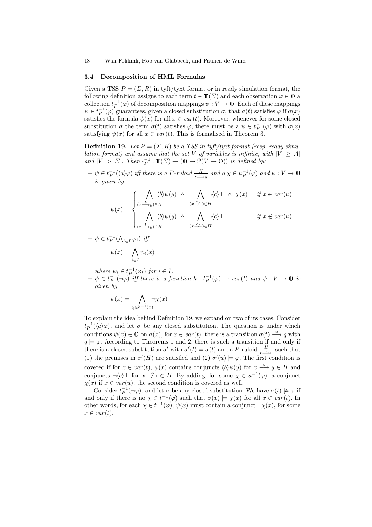#### 3.4 Decomposition of HML Formulas

Given a TSS  $P = (\Sigma, R)$  in tyft/tyxt format or in ready simulation format, the following definition assigns to each term  $t \in \mathbb{T}(\Sigma)$  and each observation  $\varphi \in \mathbb{Q}$  a collection  $t_P^{-1}(\varphi)$  of decomposition mappings  $\psi: V \to \mathbf{0}$ . Each of these mappings  $\psi \in t_P^{-1}(\varphi)$  guarantees, given a closed substitution  $\sigma$ , that  $\sigma(t)$  satisfies  $\varphi$  if  $\sigma(x)$ satisfies the formula  $\psi(x)$  for all  $x \in var(t)$ . Moreover, whenever for some closed substitution  $\sigma$  the term  $\sigma(t)$  satisfies  $\varphi$ , there must be a  $\psi \in t_P^{-1}(\varphi)$  with  $\sigma(x)$ satisfying  $\psi(x)$  for all  $x \in var(t)$ . This is formalised in Theorem 3.

**Definition 19.** Let  $P = (\Sigma, R)$  be a TSS in tyft/tyxt format (resp. ready simulation format) and assume that the set V of variables is infinite, with  $|V| \geq |A|$ and  $|V| > |\Sigma|$ . Then  $\cdot_P^{-1} : \mathbb{T}(\Sigma) \to (0 \to \mathbb{P}(V \to 0))$  is defined by:

 $-\psi \in t_P^{-1}(\langle a\rangle\varphi)$  iff there is a P-ruloid  $\frac{H}{t-\psi u}$  and  $a\chi \in u_P^{-1}(\varphi)$  and  $\psi: V \to \mathbb{O}$ is given by

$$
\psi(x) = \begin{cases}\n\bigwedge_{(x \stackrel{b}{\longrightarrow} y) \in H} \langle b \rangle \psi(y) & \wedge \bigwedge_{(x \stackrel{c}{\longrightarrow}) \in H} \neg \langle c \rangle \top \wedge \chi(x) & \text{if } x \in var(u) \\
\bigwedge_{(x \stackrel{b}{\longrightarrow} y) \in H} \langle b \rangle \psi(y) & \wedge \bigwedge_{(x \stackrel{c}{\longrightarrow}) \in H} \neg \langle c \rangle \top & \text{if } x \notin var(u)\n\end{cases}
$$

$$
- \psi \in t_P^{-1}(\bigwedge_{i \in I} \varphi_i) \text{ iff }
$$

$$
\psi(x) = \bigwedge_{i \in I} \psi_i(x)
$$

where  $\psi_i \in t_P^{-1}(\varphi_i)$  for  $i \in I$ .

 $-\psi \in t_P^{-1}(\neg \varphi)$  iff there is a function  $h: t_P^{-1}(\varphi) \to var(t)$  and  $\psi: V \to \mathbb{0}$  is given by

$$
\psi(x) = \bigwedge_{\chi \in h^{-1}(x)} \neg \chi(x)
$$

To explain the idea behind Definition 19, we expand on two of its cases. Consider  $t_P^{-1}(\langle a\rangle\varphi)$ , and let  $\sigma$  be any closed substitution. The question is under which conditions  $\psi(x) \in \mathbb{0}$  on  $\sigma(x)$ , for  $x \in var(t)$ , there is a transition  $\sigma(t) \stackrel{a}{\longrightarrow} q$  with  $q \models \varphi$ . According to Theorems 1 and 2, there is such a transition if and only if there is a closed substitution  $\sigma'$  with  $\sigma'(t) = \sigma(t)$  and a P-ruloid  $\frac{H}{t^{\frac{a}{a}}-u}$  such that (1) the premises in  $\sigma'(H)$  are satisfied and (2)  $\sigma'(u) \models \varphi$ . The first condition is covered if for  $x \in var(t)$ ,  $\psi(x)$  contains conjuncts  $\langle b \rangle \psi(y)$  for  $x \stackrel{b}{\longrightarrow} y \in H$  and conjuncts  $\neg \langle c \rangle \top$  for  $x \stackrel{c}{\longrightarrow} \in H$ . By adding, for some  $\chi \in u^{-1}(\varphi)$ , a conjunct  $\chi(x)$  if  $x \in var(u)$ , the second condition is covered as well.

Consider  $t_P^{-1}(\neg \varphi)$ , and let  $\sigma$  be any closed substitution. We have  $\sigma(t) \not\models \varphi$  if and only if there is no  $\chi \in t^{-1}(\varphi)$  such that  $\sigma(x) \models \chi(x)$  for all  $x \in var(t)$ . In other words, for each  $\chi \in t^{-1}(\varphi)$ ,  $\psi(x)$  must contain a conjunct  $\neg \chi(x)$ , for some  $x \in var(t)$ .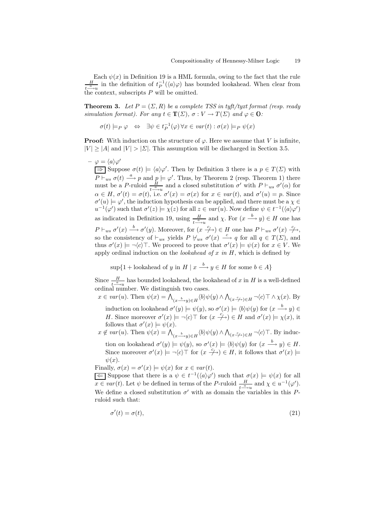Each  $\psi(x)$  in Definition 19 is a HML formula, owing to the fact that the rule H  $\frac{H}{t_{\text{max}}}$  in the definition of  $t_P^{-1}(\langle a\rangle\varphi)$  has bounded lookahead. When clear from the context, subscripts  $P$  will be omitted.

**Theorem 3.** Let  $P = (\Sigma, R)$  be a complete TSS in tyft/tyxt format (resp. ready simulation format). For any  $t \in \mathbb{T}(\Sigma)$ ,  $\sigma: V \to T(\Sigma)$  and  $\varphi \in \mathbb{Q}$ :

$$
\sigma(t) \models_P \varphi \Leftrightarrow \exists \psi \in t_P^{-1}(\varphi) \,\forall x \in \text{var}(t) : \sigma(x) \models_P \psi(x)
$$

**Proof:** With induction on the structure of  $\varphi$ . Here we assume that V is infinite,  $|V| \geq |A|$  and  $|V| > |\Sigma|$ . This assumption will be discharged in Section 3.5.

 $- \varphi = \langle a \rangle \varphi'$  $\Rightarrow$  Suppose  $\sigma(t) \models \langle a \rangle \varphi'$ . Then by Definition 3 there is a  $p \in T(\Sigma)$  with  $\overline{P \vdash}_{ws} \sigma(t) \stackrel{a}{\longrightarrow} p$  and  $p \models \varphi'$ . Thus, by Theorem 2 (resp. Theorem 1) there must be a P-ruloid  $\frac{H}{t-\alpha}$  and a closed substitution  $\sigma'$  with  $P \vdash_{ws} \sigma'(\alpha)$  for  $\alpha \in H$ ,  $\sigma'(t) = \sigma(t)$ , i.e.  $\sigma'(x) = \sigma(x)$  for  $x \in var(t)$ , and  $\sigma'(u) = p$ . Since  $\sigma'(u) \models \varphi'$ , the induction hypothesis can be applied, and there must be a  $\chi \in$  $u^{-1}(\varphi')$  such that  $\sigma'(z) \models \chi(z)$  for all  $z \in var(u)$ . Now define  $\psi \in t^{-1}(\langle a \rangle \varphi')$ as indicated in Definition 19, using  $\frac{H}{t-\frac{a}{r}}$  and  $\chi$ . For  $(x \stackrel{b}{\longrightarrow} y) \in H$  one has  $P \vdash_{ws} \sigma'(x) \stackrel{b}{\longrightarrow} \sigma'(y)$ . Moreover, for  $(x \stackrel{c}{\longrightarrow}) \in H$  one has  $P \vdash_{ws} \sigma'(x) \stackrel{c}{\longrightarrow},$ so the consistency of  $\vdash_{ws}$  yields  $P \not\vdash_{ws} \sigma'(x) \stackrel{c}{\longrightarrow} q$  for all  $q \in T(\Sigma)$ , and thus  $\sigma'(x) \models \neg \langle c \rangle$ . We proceed to prove that  $\sigma'(x) \models \psi(x)$  for  $x \in V$ . We apply ordinal induction on the *lookahead of*  $x$  in  $H$ , which is defined by

 $\sup\{1+\text{lookahead of }y\text{ in }H\mid x\stackrel{b}{\longrightarrow}y\in H\text{ for some }b\in A\}$ 

Since  $\frac{H}{t^{\frac{a}{a}+u}}$  has bounded lookahead, the lookahead of x in H is a well-defined ordinal number. We distinguish two cases.

 $x \in var(u)$ . Then  $\psi(x) = \bigwedge_{(x-\frac{b}{2})\in H} \langle b \rangle \psi(y) \wedge \bigwedge_{(x-\frac{c}{2})\in H} \neg \langle c \rangle \top \wedge \chi(x)$ . By induction on lookahead  $\sigma'(y) \models \psi(y)$ , so  $\sigma'(x) \models \langle b \rangle \psi(y)$  for  $(x \stackrel{b}{\longrightarrow} y) \in$ H. Since moreover  $\sigma'(x) \models \neg \langle c \rangle \top$  for  $(x \stackrel{c}{\longrightarrow}) \in H$  and  $\sigma'(x) \models \chi(x)$ , it follows that  $\sigma'(x) \models \psi(x)$ .

 $x \notin var(u)$ . Then  $\psi(x) = \bigwedge_{(x-\underline{b}-y)\in H} \langle b \rangle \psi(y) \wedge \bigwedge_{(x-\underline{c})\in H} \neg \langle c \rangle \top$ . By induction on lookahead  $\sigma'(y) \models \psi(y)$ , so  $\sigma'(x) \models \langle b \rangle \psi(y)$  for  $(x \stackrel{b}{\longrightarrow} y) \in H$ . Since moreover  $\sigma'(x) \models \neg \langle c \rangle \top$  for  $(x \stackrel{c}{\to} ) \in H$ , it follows that  $\sigma'(x) \models$  $\psi(x)$ .

Finally,  $\sigma(x) = \sigma'(x) \models \psi(x)$  for  $x \in \text{var}(t)$ .

 $\overline{\leftarrow}$  Suppose that there is a  $\psi \in t^{-1}(\langle a \rangle \varphi')$  such that  $\sigma(x) \models \psi(x)$  for all  $x \in var(t)$ . Let  $\psi$  be defined in terms of the P-ruloid  $\frac{H}{t^{\frac{a}{n}-u}}$  and  $\chi \in u^{-1}(\varphi')$ . We define a closed substitution  $\sigma'$  with as domain the variables in this Pruloid such that:

$$
\sigma'(t) = \sigma(t),\tag{21}
$$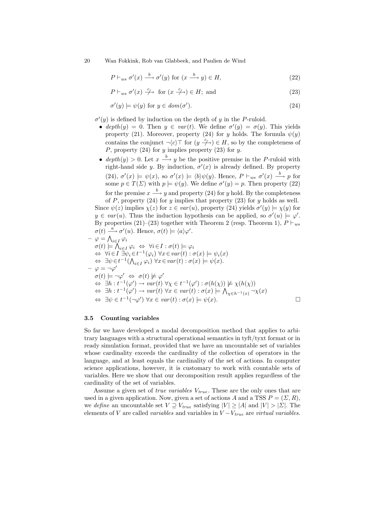$$
P \vdash_{ws} \sigma'(x) \xrightarrow{b} \sigma'(y) \text{ for } (x \xrightarrow{b} y) \in H,
$$
\n
$$
(22)
$$

$$
P \vdash_{ws} \sigma'(x) \xrightarrow{c} \text{ for } (x \xrightarrow{c}) \in H; \text{ and}
$$
 (23)

$$
\sigma'(y) \models \psi(y) \text{ for } y \in \text{dom}(\sigma'). \tag{24}
$$

 $\sigma'(y)$  is defined by induction on the depth of y in the P-ruloid.

- depth $(y) = 0$ . Then  $y \in var(t)$ . We define  $\sigma'(y) = \sigma(y)$ . This yields property (21). Moreover, property (24) for y holds. The formula  $\psi(y)$ contains the conjunct  $\neg \langle c \rangle \top$  for  $(y \not\rightarrow) \in H$ , so by the completeness of P, property  $(24)$  for y implies property  $(23)$  for y.
- depth $(y) > 0$ . Let  $x \stackrel{b}{\longrightarrow} y$  be the positive premise in the P-ruloid with right-hand side y. By induction,  $\sigma'(x)$  is already defined. By property (24),  $\sigma'(x) \models \psi(x)$ , so  $\sigma'(x) \models \langle b \rangle \psi(y)$ . Hence,  $P \vdash_{ws} \sigma'(x) \stackrel{b}{\longrightarrow} p$  for some  $p \in T(\Sigma)$  with  $p \models \psi(y)$ . We define  $\sigma'(y) = p$ . Then property (22) for the premise  $x \stackrel{b}{\longrightarrow} y$  and property (24) for y hold. By the completeness of P, property  $(24)$  for y implies that property  $(23)$  for y holds as well.

Since  $\psi(z)$  implies  $\chi(z)$  for  $z \in var(u)$ , property (24) yields  $\sigma'(y) \models \chi(y)$  for  $y \in var(u)$ . Thus the induction hypothesis can be applied, so  $\sigma'(u) \models \varphi'$ . By properties (21)–(23) together with Theorem 2 (resp. Theorem 1),  $P \vdash_{ws}$  $\sigma(t) \stackrel{a}{\longrightarrow} \sigma'(u)$ . Hence,  $\sigma(t) \models \langle a \rangle \varphi'$ .

$$
\varphi = \bigwedge_{i \in I} \varphi_i
$$
  
\n
$$
\sigma(t) \models \bigwedge_{i \in I} \varphi_i \Leftrightarrow \forall i \in I : \sigma(t) \models \varphi_i
$$
  
\n
$$
\Leftrightarrow \forall i \in I \exists \psi_i \in t^{-1}(\varphi_i) \forall x \in var(t) : \sigma(x) \models \psi_i(x)
$$
  
\n
$$
\Leftrightarrow \exists \psi \in t^{-1}(\bigwedge_{i \in I} \varphi_i) \forall x \in var(t) : \sigma(x) \models \psi(x).
$$
  
\n
$$
-\varphi = \neg \varphi'
$$
  
\n
$$
\sigma(t) \models \neg \varphi' \Leftrightarrow \sigma(t) \not\models \varphi'
$$
  
\n
$$
\Leftrightarrow \exists h : t^{-1}(\varphi') \rightarrow var(t) \forall x \in t^{-1}(\varphi') : \sigma(h(x)) \not\models \chi(h(x))
$$
  
\n
$$
\Leftrightarrow \exists h : t^{-1}(\varphi') \rightarrow var(t) \forall x \in var(t) : \sigma(x) \models \bigwedge_{\chi \in h^{-1}(x)} \neg \chi(x)
$$
  
\n
$$
\Leftrightarrow \exists \psi \in t^{-1}(\neg \varphi') \forall x \in var(t) : \sigma(x) \models \psi(x).
$$

### 3.5 Counting variables

So far we have developed a modal decomposition method that applies to arbitrary languages with a structural operational semantics in tyft/tyxt format or in ready simulation format, provided that we have an uncountable set of variables whose cardinality exceeds the cardinality of the collection of operators in the language, and at least equals the cardinality of the set of actions. In computer science applications, however, it is customary to work with countable sets of variables. Here we show that our decomposition result applies regardless of the cardinality of the set of variables.

Assume a given set of *true variables*  $V_{true}$ . These are the only ones that are used in a given application. Now, given a set of actions A and a TSS  $P = (\Sigma, R)$ , we define an uncountable set  $V \supseteq V_{true}$  satisfying  $|V| \geq |A|$  and  $|V| > |\Sigma|$ . The elements of V are called *variables* and variables in  $V - V_{true}$  are *virtual variables*.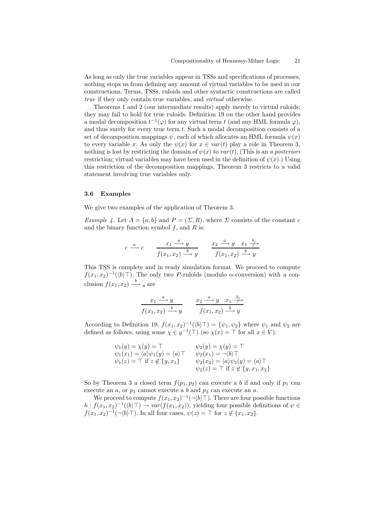As long as only the true variables appear in TSSs and specifications of processes, nothing stops us from defining any amount of virtual variables to be used in our constructions. Terms, TSSs, ruloids and other syntactic constructions are called true if they only contain true variables, and virtual otherwise.

Theorems 1 and 2 (our intermediate results) apply merely to virtual ruloids; they may fail to hold for true ruloids. Definition 19 on the other hand provides a modal decomposition  $t^{-1}(\varphi)$  for any virtual term t (and any HML formula  $\varphi$ ), and thus surely for every true term  $t$ . Such a modal decomposition consists of a set of decomposition mappings  $\psi$ , each of which allocates an HML formula  $\psi(x)$ to every variable x. As only the  $\psi(x)$  for  $x \in var(t)$  play a rôle in Theorem 3, nothing is lost by restricting the domain of  $\psi(x)$  to  $var(t)$ . (This is an a posteriori restriction; virtual variables may have been used in the definition of  $\psi(x)$ .) Using this restriction of the decomposition mappings, Theorem 3 restricts to a valid statement involving true variables only.

### 3.6 Examples

We give two examples of the application of Theorem 3.

Example 4. Let  $A = \{a, b\}$  and  $P = (\Sigma, R)$ , where  $\Sigma$  consists of the constant c and the binary function symbol  $f$ , and  $R$  is:

$$
c \xrightarrow{a} c \qquad \frac{x_1 \xrightarrow{a} y}{f(x_1, x_2) \xrightarrow{b} y} \qquad \frac{x_2 \xrightarrow{a} y}{f(x_1, x_2) \xrightarrow{b} y}
$$

This TSS is complete and in ready simulation format. We proceed to compute  $f(x_1, x_2)^{-1}(\langle b\rangle)$ . The only two P-ruloids (modulo  $\alpha$ -conversion) with a conclusion  $f(x_1, x_2) \stackrel{b}{\longrightarrow}$  are

$$
\frac{x_1 \xrightarrow{a} y}{f(x_1, x_2) \xrightarrow{b} y} \qquad \frac{x_2 \xrightarrow{a} y \quad x_1 \xrightarrow{b}}{f(x_1, x_2) \xrightarrow{b} y}
$$

According to Definition 19,  $f(x_1, x_2)^{-1}(\langle b \rangle \top) = \{\psi_1, \psi_2\}$  where  $\psi_1$  and  $\psi_2$  are defined as follows, using some  $\chi \in y^{-1}(\top)$  (so  $\chi(x) = \top$  for all  $x \in V$ ):

$$
\psi_1(y) = \chi(y) = \top
$$
  
\n
$$
\psi_1(x_1) = \langle a \rangle \psi_1(y) = \langle a \rangle \top
$$
  
\n
$$
\psi_2(x_1) = \neg \langle b \rangle \top
$$
  
\n
$$
\psi_1(z) = \top \text{ if } z \notin \{y, x_1\}
$$
  
\n
$$
\psi_2(x_2) = \langle a \rangle \psi_2(y) = \langle a \rangle \top
$$
  
\n
$$
\psi_2(z) = \top \text{ if } z \notin \{y, x_1, x_2\}
$$

So by Theorem 3 a closed term  $f(p_1, p_2)$  can execute a b if and only if  $p_1$  can execute an  $a$ , or  $p_1$  cannot execute a  $b$  and  $p_2$  can execute an  $a$ .

We proceed to compute  $f(x_1, x_2)^{-1}(\neg \langle b \rangle \top)$ . There are four possible functions  $h: f(x_1, x_2)^{-1}(\langle b \rangle \top) \to \text{var}(f(x_1, x_2))$ , yielding four possible definitions of  $\psi \in$  $f(x_1, x_2)^{-1}(\neg \langle b \rangle \top)$ . In all four cases,  $\psi(z) = \top$  for  $z \notin \{x_1, x_2\}$ .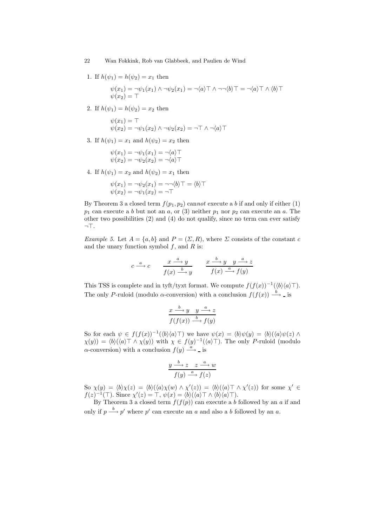1. If  $h(\psi_1) = h(\psi_2) = x_1$  then

$$
\psi(x_1) = \neg \psi_1(x_1) \land \neg \psi_2(x_1) = \neg \langle a \rangle \top \land \neg \neg \langle b \rangle \top = \neg \langle a \rangle \top \land \langle b \rangle \top
$$
  

$$
\psi(x_2) = \top
$$

2. If  $h(\psi_1) = h(\psi_2) = x_2$  then

$$
\psi(x_1) = \top
$$
  

$$
\psi(x_2) = \neg \psi_1(x_2) \land \neg \psi_2(x_2) = \neg \top \land \neg \langle a \rangle \top
$$

3. If  $h(\psi_1) = x_1$  and  $h(\psi_2) = x_2$  then

$$
\psi(x_1) = \neg \psi_1(x_1) = \neg \langle a \rangle \top
$$
  

$$
\psi(x_2) = \neg \psi_2(x_2) = \neg \langle a \rangle \top
$$

4. If  $h(\psi_1) = x_2$  and  $h(\psi_2) = x_1$  then

$$
\psi(x_1) = \neg \psi_2(x_1) = \neg \neg \langle b \rangle \top = \langle b \rangle \top
$$
  

$$
\psi(x_2) = \neg \psi_1(x_2) = \neg \top
$$

By Theorem 3 a closed term  $f(p_1, p_2)$  cannot execute a b if and only if either (1)  $p_1$  can execute a b but not an a, or (3) neither  $p_1$  nor  $p_2$  can execute an a. The other two possibilities (2) and (4) do not qualify, since no term can ever satisfy  $\neg$ T.

Example 5. Let  $A = \{a, b\}$  and  $P = (\Sigma, R)$ , where  $\Sigma$  consists of the constant c and the unary function symbol  $f$ , and  $R$  is:

$$
c \xrightarrow{a} c \qquad \frac{x \xrightarrow{a} y}{f(x) \xrightarrow{b} y} \qquad \frac{x \xrightarrow{b} y \quad y \xrightarrow{a} z}{f(x) \xrightarrow{a} f(y)}
$$

This TSS is complete and in tyft/tyxt format. We compute  $f(f(x))^{-1}(\langle b \rangle \langle a \rangle)$ . The only P-ruloid (modulo  $\alpha$ -conversion) with a conclusion  $f(f(x)) \stackrel{b}{\longrightarrow} -i$  is

$$
\frac{x \stackrel{b}{\longrightarrow} y \quad y \stackrel{a}{\longrightarrow} z}{f(f(x)) \stackrel{b}{\longrightarrow} f(y)}
$$

So for each  $\psi \in f(f(x))^{-1}(\langle b \rangle \langle a \rangle)$  we have  $\psi(x) = \langle b \rangle \psi(y) = \langle b \rangle (\langle a \rangle \psi(z))$  $\chi(y) = \langle b \rangle (\langle a \rangle \top \wedge \chi(y))$  with  $\chi \in f(y)^{-1}(\langle a \rangle \top)$ . The only P-ruloid (modulo  $\alpha$ -conversion) with a conclusion  $f(y) \stackrel{a}{\longrightarrow}$  is

$$
\frac{y \xrightarrow{b} z \quad z \xrightarrow{a} w}{f(y) \xrightarrow{a} f(z)}
$$

So  $\chi(y) = \langle b \rangle \chi(z) = \langle b \rangle (\langle a \rangle \chi(w) \wedge \chi'(z)) = \langle b \rangle (\langle a \rangle \top \wedge \chi'(z))$  for some  $\chi' \in$  $f(z)^{-1}(\top)$ . Since  $\chi'(z) = \top$ ,  $\psi(x) = \langle b \rangle (\langle a \rangle \top \wedge \langle b \rangle \langle a \rangle \top)$ .

By Theorem 3 a closed term  $f(f(p))$  can execute a b followed by an a if and only if  $p \stackrel{b}{\longrightarrow} p'$  where  $p'$  can execute an a and also a b followed by an a.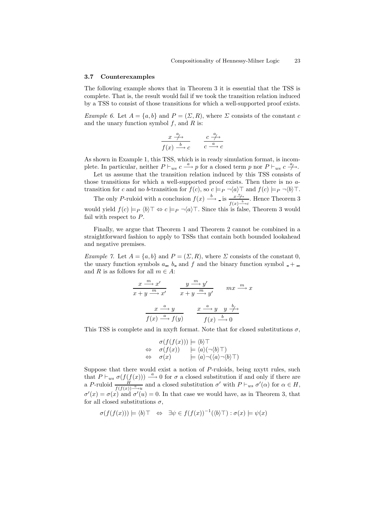#### 3.7 Counterexamples

The following example shows that in Theorem 3 it is essential that the TSS is complete. That is, the result would fail if we took the transition relation induced by a TSS to consist of those transitions for which a well-supported proof exists.

Example 6. Let  $A = \{a, b\}$  and  $P = (\Sigma, R)$ , where  $\Sigma$  consists of the constant c and the unary function symbol  $f$ , and  $R$  is:

$$
\frac{x \stackrel{a}{\longrightarrow}}{f(x) \stackrel{b}{\longrightarrow} c} \qquad \frac{c \stackrel{a}{\longrightarrow}}{c \stackrel{a}{\longrightarrow} c}
$$

As shown in Example 1, this TSS, which is in ready simulation format, is incomplete. In particular, neither  $P \vdash_{ws} c \stackrel{a}{\longrightarrow} p$  for a closed term p nor  $P \vdash_{ws} c \stackrel{a}{\longrightarrow}$ .

Let us assume that the transition relation induced by this TSS consists of those transitions for which a well-supported proof exists. Then there is no atransition for c and no b-transition for  $f(c)$ , so  $c \models_P \neg \langle a \rangle \top$  and  $f(c) \models_P \neg \langle b \rangle \top$ .

The only P-ruloid with a conclusion  $f(x) \xrightarrow{b}$  is  $\frac{x^a}{x^b}$  $\frac{x \to b}{f(x) \to c}$ . Hence Theorem 3 would yield  $f(c) \models_P \langle b \rangle \top \Leftrightarrow c \models_P \neg \langle a \rangle \top$ . Since this is false, Theorem 3 would fail with respect to P.

Finally, we argue that Theorem 1 and Theorem 2 cannot be combined in a straightforward fashion to apply to TSSs that contain both bounded lookahead and negative premises.

Example 7. Let  $A = \{a, b\}$  and  $P = (\Sigma, R)$ , where  $\Sigma$  consists of the constant 0, the unary function symbols  $a_-, b_-$  and f and the binary function symbol  $-+$ , and R is as follows for all  $m \in A$ :

$$
\frac{x \xrightarrow{m} x'}{x + y \xrightarrow{m} x'} \qquad \frac{y \xrightarrow{m} y'}{x + y \xrightarrow{m} y'} \qquad mx \xrightarrow{m} x
$$

$$
\frac{x \xrightarrow{a} y}{f(x) \xrightarrow{a} f(y)} \qquad \frac{x \xrightarrow{a} y}{f(x) \xrightarrow{b} 0} \qquad \frac{x \xrightarrow{b} y}{f(x) \xrightarrow{b} 0}
$$

This TSS is complete and in nxyft format. Note that for closed substitutions  $\sigma$ ,

$$
\sigma(f(f(x))) \models \langle b \rangle \top
$$
  
\n
$$
\Leftrightarrow \quad \sigma(f(x)) \quad \models \langle a \rangle (\neg \langle b \rangle \top)
$$
  
\n
$$
\Leftrightarrow \quad \sigma(x) \quad \models \langle a \rangle \neg (\langle a \rangle \neg \langle b \rangle \top)
$$

Suppose that there would exist a notion of P-ruloids, being nxytt rules, such that  $P \vdash_{ws} \sigma(f(f(x))) \stackrel{a}{\longrightarrow} 0$  for  $\sigma$  a closed substitution if and only if there are a P-ruloid  $\frac{H}{f(f(x)) - \lambda u}$  and a closed substitution  $\sigma'$  with  $P \vdash_{ws} \sigma'(\alpha)$  for  $\alpha \in H$ ,  $\sigma'(x) = \sigma(x)$  and  $\sigma'(u) = 0$ . In that case we would have, as in Theorem 3, that for all closed substitutions  $\sigma$ ,

$$
\sigma(f(f(x))) \models \langle b \rangle \top \Leftrightarrow \exists \psi \in f(f(x))^{-1}(\langle b \rangle \top) : \sigma(x) \models \psi(x)
$$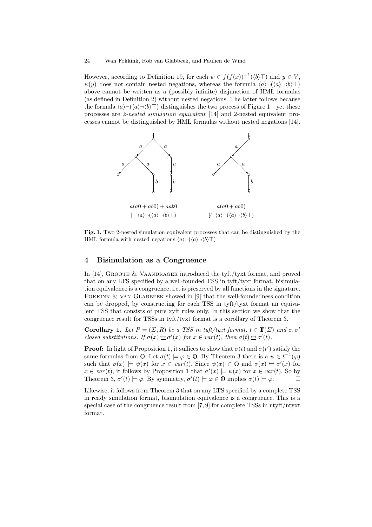However, according to Definition 19, for each  $\psi \in f(f(x))^{-1}(\langle b\rangle \top)$  and  $y \in V$ ,  $\psi(y)$  does not contain nested negations, whereas the formula  $\langle a \rangle \neg (\langle a \rangle \neg (b \rangle \top)$ above cannot be written as a (possibly infinite) disjunction of HML formulas (as defined in Definition 2) without nested negations. The latter follows because the formula  $\langle a\rangle \neg (\langle a\rangle \neg b)$  distinguishes the two process of Figure 1—yet these processes are 2-nested simulation equivalent [14] and 2-nested equivalent processes cannot be distinguished by HML formulas without nested negations [14].



Fig. 1. Two 2-nested simulation equivalent processes that can be distinguished by the HML formula with nested negations  $\langle a \rangle \neg (\langle a \rangle \neg \langle b \rangle \top)$ 

## 4 Bisimulation as a Congruence

In [14], GROOTE  $&$  VAANDRAGER introduced the tyft/tyxt format, and proved that on any LTS specified by a well-founded TSS in tyft/tyxt format, bisimulation equivalence is a congruence, i.e. is preserved by all functions in the signature. FOKKINK & VAN GLABBEEK showed in [9] that the well-foundedness condition can be dropped, by constructing for each TSS in tyft/tyxt format an equivalent TSS that consists of pure xyft rules only. In this section we show that the congruence result for TSSs in tyft/tyxt format is a corollary of Theorem 3.

**Corollary 1.** Let  $P = (\Sigma, R)$  be a TSS in tyft/tyxt format,  $t \in \mathbb{T}(\Sigma)$  and  $\sigma, \sigma'$ closed substitutions. If  $\sigma(x) \triangleq \sigma'(x)$  for  $x \in var(t)$ , then  $\sigma(t) \triangleq \sigma'(t)$ .

**Proof:** In light of Proposition 1, it suffices to show that  $\sigma(t)$  and  $\sigma(t')$  satisfy the same formulas from 0. Let  $\sigma(t) \models \varphi \in \mathbf{0}$ . By Theorem 3 there is a  $\psi \in t^{-1}(\varphi)$ such that  $\sigma(x) \models \psi(x)$  for  $x \in \text{var}(t)$ . Since  $\psi(x) \in \mathbb{O}$  and  $\sigma(x) \leftrightarrow \sigma'(x)$  for  $x \in var(t)$ , it follows by Proposition 1 that  $\sigma'(x) \models \psi(x)$  for  $x \in var(t)$ . So by Theorem 3,  $\sigma'(t) \models \varphi$ . By symmetry,  $\sigma'(t) \models \varphi \in \mathbb{O}$  implies  $\sigma(t) \models \varphi$ .

Likewise, it follows from Theorem 3 that on any LTS specified by a complete TSS in ready simulation format, bisimulation equivalence is a congruence. This is a special case of the congruence result from [7, 9] for complete TSSs in ntyft/ntyxt format.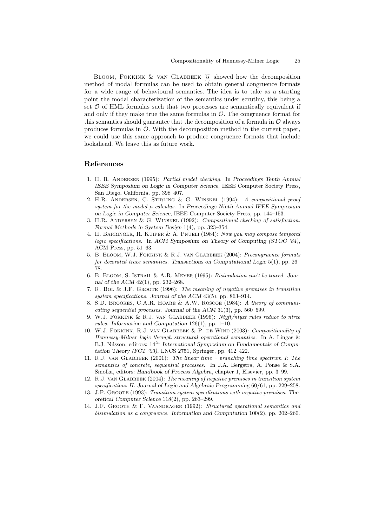Bloom, Fokkink & van Glabbeek [5] showed how the decomposition method of modal formulas can be used to obtain general congruence formats for a wide range of behavioural semantics. The idea is to take as a starting point the modal characterization of the semantics under scrutiny, this being a set  $\mathcal O$  of HML formulas such that two processes are semantically equivalent if and only if they make true the same formulas in  $\mathcal O$ . The congruence format for this semantics should guarantee that the decomposition of a formula in  $\mathcal O$  always produces formulas in  $\mathcal{O}$ . With the decomposition method in the current paper, we could use this same approach to produce congruence formats that include lookahead. We leave this as future work.

## References

- 1. H. R. Andersen (1995): Partial model checking. In Proceedings Tenth Annual IEEE Symposium on Logic in Computer Science, IEEE Computer Society Press, San Diego, California, pp. 398–407.
- 2. H.R. Andersen, C. Stirling & G. Winskel (1994): A compositional proof system for the modal  $\mu$ -calculus. In Proceedings Ninth Annual IEEE Symposium on Logic in Computer Science, IEEE Computer Society Press, pp. 144–153.
- 3. H.R. Andersen & G. Winskel (1992): Compositional checking of satisfaction. Formal Methods in System Design 1(4), pp. 323–354.
- 4. H. Barringer, R. Kuiper & A. Pnueli (1984): Now you may compose temporal logic specifications. In ACM Symposium on Theory of Computing (STOC '84), ACM Press, pp. 51–63.
- 5. B. Bloom, W.J. Fokkink & R.J. van Glabbeek (2004): Precongruence formats for decorated trace semantics. Transactions on Computational Logic  $5(1)$ , pp. 26– 78.
- 6. B. Bloom, S. Istrail & A.R. Meyer (1995): Bisimulation can't be traced. Journal of the ACM 42(1), pp. 232–268.
- 7. R. Bol & J.F. Groote (1996): The meaning of negative premises in transition system specifications. Journal of the ACM 43(5), pp. 863–914.
- 8. S.D. Brookes, C.A.R. Hoare & A.W. Roscoe (1984): A theory of communicating sequential processes. Journal of the ACM 31(3), pp. 560–599.
- 9. W.J. FOKKINK & R.J. VAN GLABBEEK (1996): Ntyft/ntyxt rules reduce to ntree rules. Information and Computation 126(1), pp. 1–10.
- 10. W.J. Fokkink, R.J. van Glabbeek & P. de Wind (2003): Compositionality of Hennessy-Milner logic through structural operational semantics. In A. Lingas & B.J. Nilsson, editors:  $14^{th}$  International Symposium on Fundamentals of Computation Theory (FCT '03), LNCS 2751, Springer, pp. 412–422.
- 11. R.J. van Glabbeek (2001): The linear time branching time spectrum I: The semantics of concrete, sequential processes. In J.A. Bergstra, A. Ponse & S.A. Smolka, editors: Handbook of Process Algebra, chapter 1, Elsevier, pp. 3–99.
- 12. R.J. van Glabbeek (2004): The meaning of negative premises in transition system specifications II. Journal of Logic and Algebraic Programming 60/61, pp. 229–258.
- 13. J.F. Groote (1993): Transition system specifications with negative premises. Theoretical Computer Science 118(2), pp. 263–299.
- 14. J.F. GROOTE & F. VAANDRAGER (1992): Structured operational semantics and bisimulation as a congruence. Information and Computation 100(2), pp. 202–260.